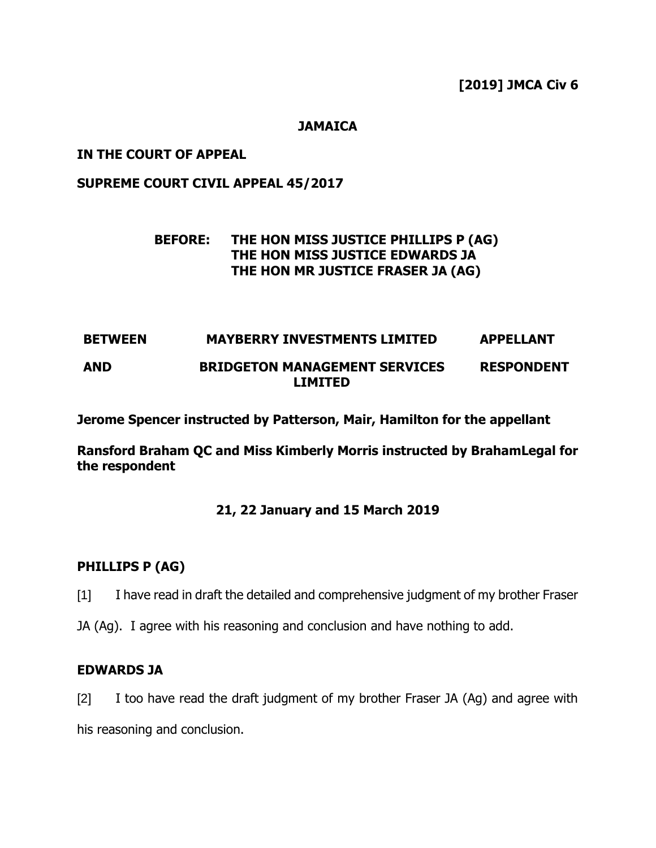**[2019] JMCA Civ 6**

**JAMAICA**

### **IN THE COURT OF APPEAL**

### **SUPREME COURT CIVIL APPEAL 45/2017**

# **BEFORE: THE HON MISS JUSTICE PHILLIPS P (AG) THE HON MISS JUSTICE EDWARDS JA THE HON MR JUSTICE FRASER JA (AG)**

### **BETWEEN MAYBERRY INVESTMENTS LIMITED APPELLANT AND BRIDGETON MANAGEMENT SERVICES LIMITED RESPONDENT**

**Jerome Spencer instructed by Patterson, Mair, Hamilton for the appellant**

**Ransford Braham QC and Miss Kimberly Morris instructed by BrahamLegal for the respondent**

# **21, 22 January and 15 March 2019**

# **PHILLIPS P (AG)**

- [1] I have read in draft the detailed and comprehensive judgment of my brother Fraser
- JA (Ag). I agree with his reasoning and conclusion and have nothing to add.

### **EDWARDS JA**

[2] I too have read the draft judgment of my brother Fraser JA (Ag) and agree with

his reasoning and conclusion.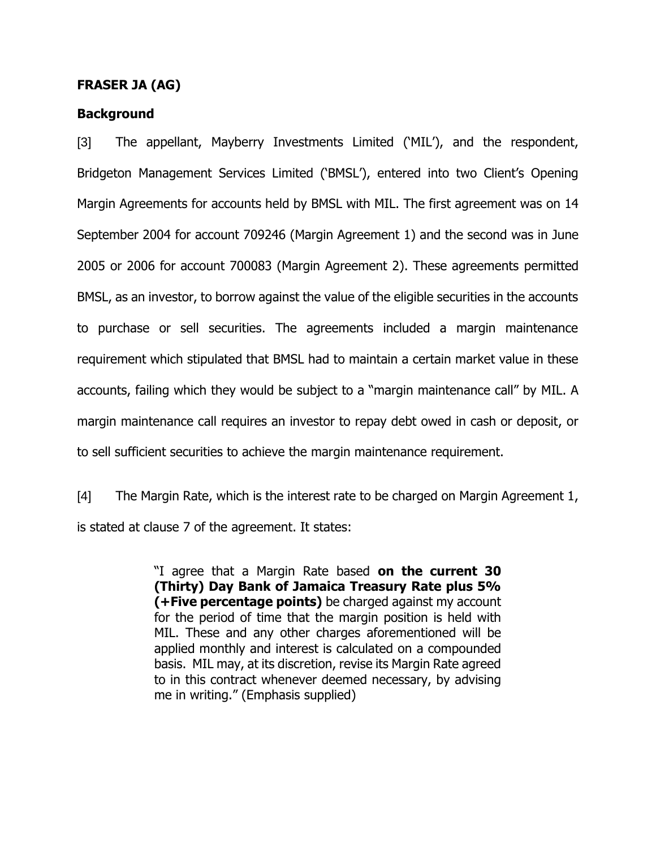### **FRASER JA (AG)**

#### **Background**

[3] The appellant, Mayberry Investments Limited ('MIL'), and the respondent, Bridgeton Management Services Limited ('BMSL'), entered into two Client's Opening Margin Agreements for accounts held by BMSL with MIL. The first agreement was on 14 September 2004 for account 709246 (Margin Agreement 1) and the second was in June 2005 or 2006 for account 700083 (Margin Agreement 2). These agreements permitted BMSL, as an investor, to borrow against the value of the eligible securities in the accounts to purchase or sell securities. The agreements included a margin maintenance requirement which stipulated that BMSL had to maintain a certain market value in these accounts, failing which they would be subject to a "margin maintenance call" by MIL. A margin maintenance call requires an investor to repay debt owed in cash or deposit, or to sell sufficient securities to achieve the margin maintenance requirement.

[4] The Margin Rate, which is the interest rate to be charged on Margin Agreement 1, is stated at clause 7 of the agreement. It states:

> "I agree that a Margin Rate based **on the current 30 (Thirty) Day Bank of Jamaica Treasury Rate plus 5% (+Five percentage points)** be charged against my account for the period of time that the margin position is held with MIL. These and any other charges aforementioned will be applied monthly and interest is calculated on a compounded basis. MIL may, at its discretion, revise its Margin Rate agreed to in this contract whenever deemed necessary, by advising me in writing." (Emphasis supplied)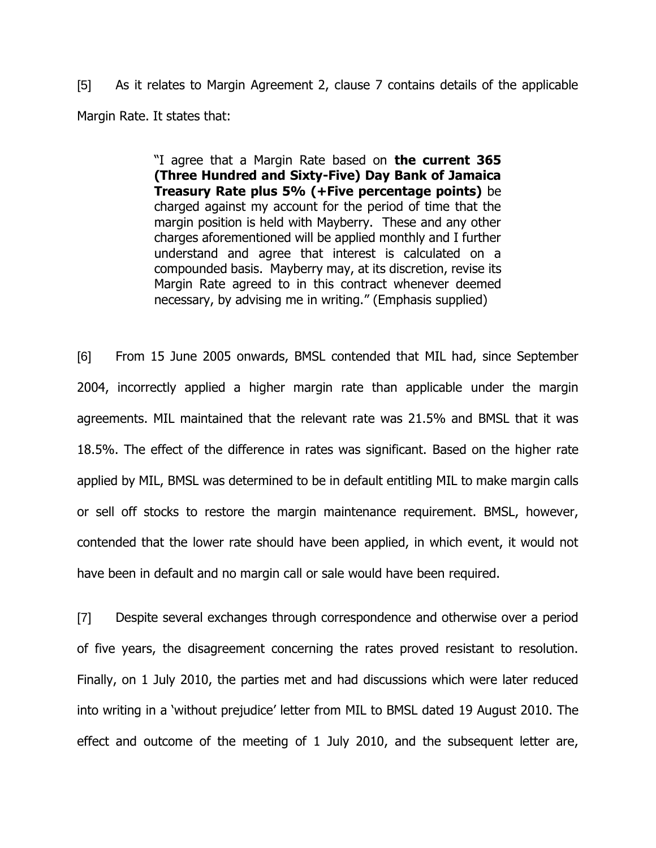[5] As it relates to Margin Agreement 2, clause 7 contains details of the applicable Margin Rate. It states that:

> "I agree that a Margin Rate based on **the current 365 (Three Hundred and Sixty-Five) Day Bank of Jamaica Treasury Rate plus 5% (+Five percentage points)** be charged against my account for the period of time that the margin position is held with Mayberry. These and any other charges aforementioned will be applied monthly and I further understand and agree that interest is calculated on a compounded basis. Mayberry may, at its discretion, revise its Margin Rate agreed to in this contract whenever deemed necessary, by advising me in writing." (Emphasis supplied)

[6] From 15 June 2005 onwards, BMSL contended that MIL had, since September 2004, incorrectly applied a higher margin rate than applicable under the margin agreements. MIL maintained that the relevant rate was 21.5% and BMSL that it was 18.5%. The effect of the difference in rates was significant. Based on the higher rate applied by MIL, BMSL was determined to be in default entitling MIL to make margin calls or sell off stocks to restore the margin maintenance requirement. BMSL, however, contended that the lower rate should have been applied, in which event, it would not have been in default and no margin call or sale would have been required.

[7] Despite several exchanges through correspondence and otherwise over a period of five years, the disagreement concerning the rates proved resistant to resolution. Finally, on 1 July 2010, the parties met and had discussions which were later reduced into writing in a 'without prejudice' letter from MIL to BMSL dated 19 August 2010. The effect and outcome of the meeting of 1 July 2010, and the subsequent letter are,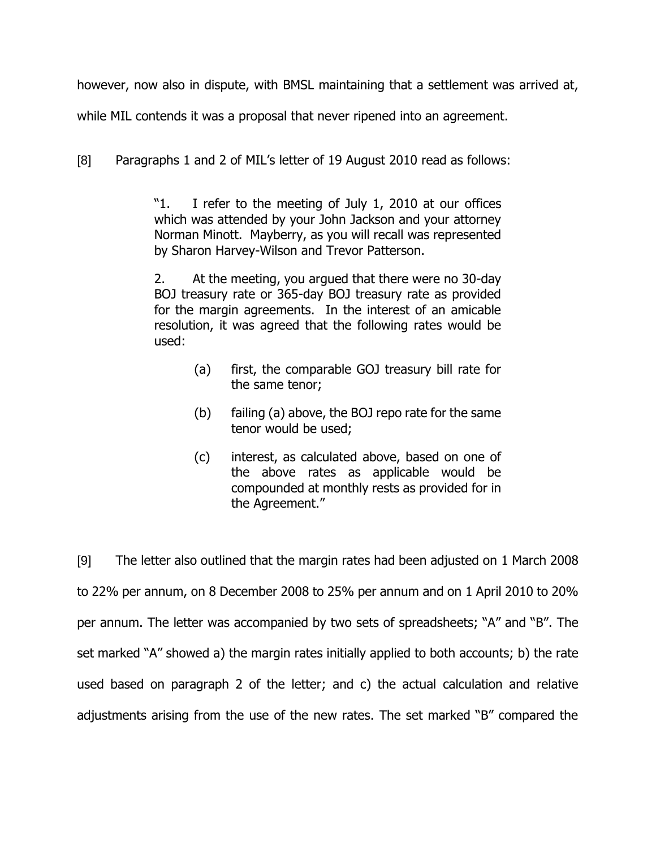however, now also in dispute, with BMSL maintaining that a settlement was arrived at,

while MIL contends it was a proposal that never ripened into an agreement.

[8] Paragraphs 1 and 2 of MIL's letter of 19 August 2010 read as follows:

"1. I refer to the meeting of July 1, 2010 at our offices which was attended by your John Jackson and your attorney Norman Minott. Mayberry, as you will recall was represented by Sharon Harvey-Wilson and Trevor Patterson.

2. At the meeting, you argued that there were no 30-day BOJ treasury rate or 365-day BOJ treasury rate as provided for the margin agreements. In the interest of an amicable resolution, it was agreed that the following rates would be used:

- (a) first, the comparable GOJ treasury bill rate for the same tenor;
- (b) failing (a) above, the BOJ repo rate for the same tenor would be used;
- (c) interest, as calculated above, based on one of the above rates as applicable would be compounded at monthly rests as provided for in the Agreement."

[9] The letter also outlined that the margin rates had been adjusted on 1 March 2008 to 22% per annum, on 8 December 2008 to 25% per annum and on 1 April 2010 to 20% per annum. The letter was accompanied by two sets of spreadsheets; "A" and "B". The set marked "A" showed a) the margin rates initially applied to both accounts; b) the rate used based on paragraph 2 of the letter; and c) the actual calculation and relative adjustments arising from the use of the new rates. The set marked "B" compared the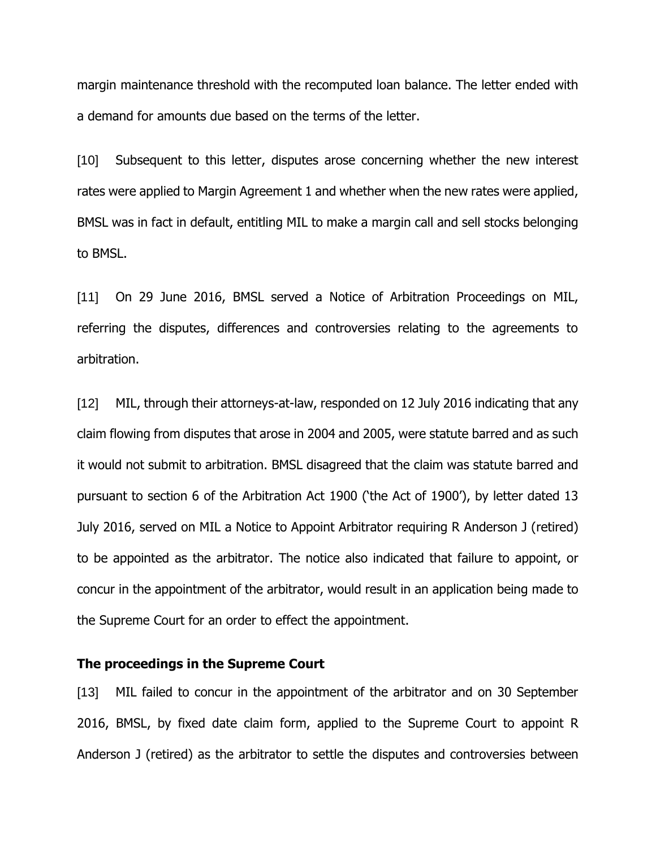margin maintenance threshold with the recomputed loan balance. The letter ended with a demand for amounts due based on the terms of the letter.

[10] Subsequent to this letter, disputes arose concerning whether the new interest rates were applied to Margin Agreement 1 and whether when the new rates were applied, BMSL was in fact in default, entitling MIL to make a margin call and sell stocks belonging to BMSL.

[11] On 29 June 2016, BMSL served a Notice of Arbitration Proceedings on MIL, referring the disputes, differences and controversies relating to the agreements to arbitration.

[12] MIL, through their attorneys-at-law, responded on 12 July 2016 indicating that any claim flowing from disputes that arose in 2004 and 2005, were statute barred and as such it would not submit to arbitration. BMSL disagreed that the claim was statute barred and pursuant to section 6 of the Arbitration Act 1900 ('the Act of 1900'), by letter dated 13 July 2016, served on MIL a Notice to Appoint Arbitrator requiring R Anderson J (retired) to be appointed as the arbitrator. The notice also indicated that failure to appoint, or concur in the appointment of the arbitrator, would result in an application being made to the Supreme Court for an order to effect the appointment.

### **The proceedings in the Supreme Court**

[13] MIL failed to concur in the appointment of the arbitrator and on 30 September 2016, BMSL, by fixed date claim form, applied to the Supreme Court to appoint R Anderson J (retired) as the arbitrator to settle the disputes and controversies between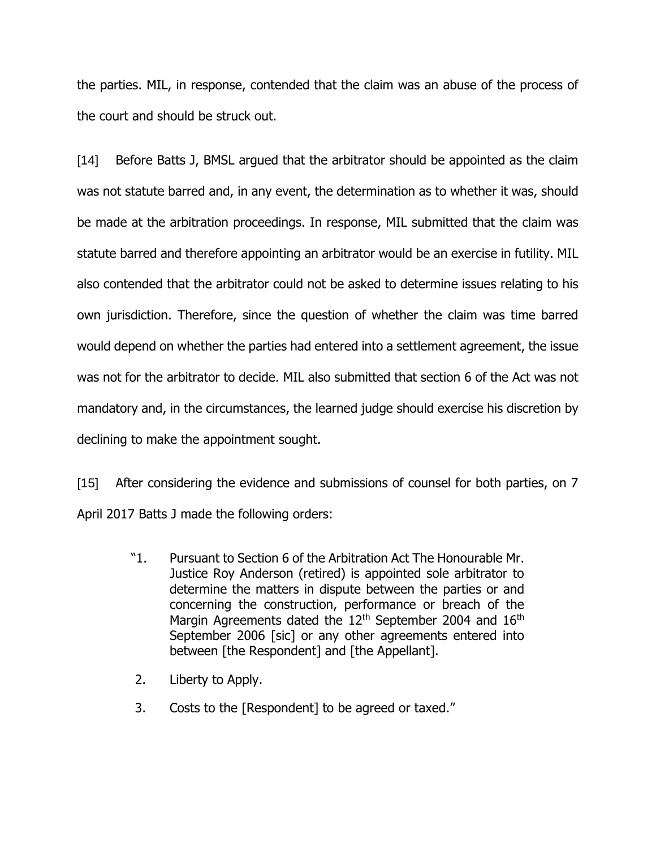the parties. MIL, in response, contended that the claim was an abuse of the process of the court and should be struck out.

[14] Before Batts J, BMSL argued that the arbitrator should be appointed as the claim was not statute barred and, in any event, the determination as to whether it was, should be made at the arbitration proceedings. In response, MIL submitted that the claim was statute barred and therefore appointing an arbitrator would be an exercise in futility. MIL also contended that the arbitrator could not be asked to determine issues relating to his own jurisdiction. Therefore, since the question of whether the claim was time barred would depend on whether the parties had entered into a settlement agreement, the issue was not for the arbitrator to decide. MIL also submitted that section 6 of the Act was not mandatory and, in the circumstances, the learned judge should exercise his discretion by declining to make the appointment sought.

[15] After considering the evidence and submissions of counsel for both parties, on 7 April 2017 Batts J made the following orders:

- "1. Pursuant to Section 6 of the Arbitration Act The Honourable Mr. Justice Roy Anderson (retired) is appointed sole arbitrator to determine the matters in dispute between the parties or and concerning the construction, performance or breach of the Margin Agreements dated the  $12<sup>th</sup>$  September 2004 and  $16<sup>th</sup>$ September 2006 [sic] or any other agreements entered into between [the Respondent] and [the Appellant].
- 2. Liberty to Apply.
- 3. Costs to the [Respondent] to be agreed or taxed."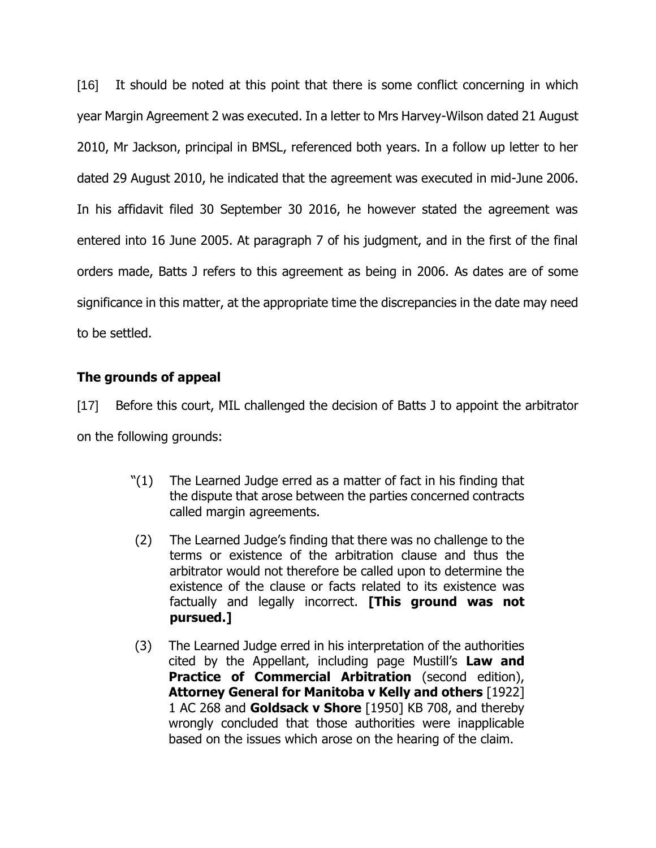[16] It should be noted at this point that there is some conflict concerning in which year Margin Agreement 2 was executed. In a letter to Mrs Harvey-Wilson dated 21 August 2010, Mr Jackson, principal in BMSL, referenced both years. In a follow up letter to her dated 29 August 2010, he indicated that the agreement was executed in mid-June 2006. In his affidavit filed 30 September 30 2016, he however stated the agreement was entered into 16 June 2005. At paragraph 7 of his judgment, and in the first of the final orders made, Batts J refers to this agreement as being in 2006. As dates are of some significance in this matter, at the appropriate time the discrepancies in the date may need to be settled.

# **The grounds of appeal**

[17] Before this court, MIL challenged the decision of Batts J to appoint the arbitrator on the following grounds:

- $"(1)$  The Learned Judge erred as a matter of fact in his finding that the dispute that arose between the parties concerned contracts called margin agreements.
- (2) The Learned Judge's finding that there was no challenge to the terms or existence of the arbitration clause and thus the arbitrator would not therefore be called upon to determine the existence of the clause or facts related to its existence was factually and legally incorrect. **[This ground was not pursued.]**
- (3) The Learned Judge erred in his interpretation of the authorities cited by the Appellant, including page Mustill's **Law and Practice of Commercial Arbitration** (second edition), **Attorney General for Manitoba v Kelly and others** [1922] 1 AC 268 and **Goldsack v Shore** [1950] KB 708, and thereby wrongly concluded that those authorities were inapplicable based on the issues which arose on the hearing of the claim.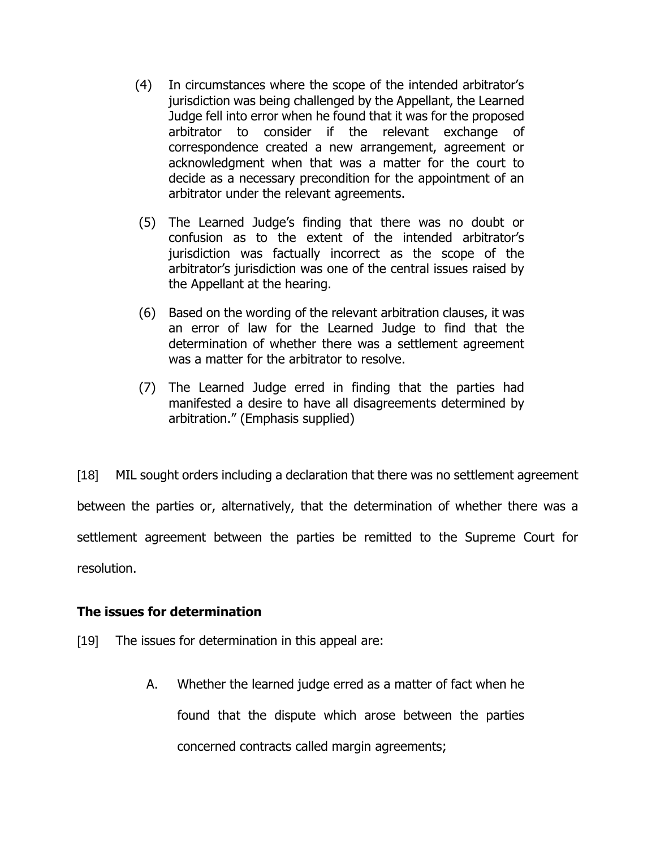- (4) In circumstances where the scope of the intended arbitrator's jurisdiction was being challenged by the Appellant, the Learned Judge fell into error when he found that it was for the proposed arbitrator to consider if the relevant exchange of correspondence created a new arrangement, agreement or acknowledgment when that was a matter for the court to decide as a necessary precondition for the appointment of an arbitrator under the relevant agreements.
- (5) The Learned Judge's finding that there was no doubt or confusion as to the extent of the intended arbitrator's jurisdiction was factually incorrect as the scope of the arbitrator's jurisdiction was one of the central issues raised by the Appellant at the hearing.
- (6) Based on the wording of the relevant arbitration clauses, it was an error of law for the Learned Judge to find that the determination of whether there was a settlement agreement was a matter for the arbitrator to resolve.
- (7) The Learned Judge erred in finding that the parties had manifested a desire to have all disagreements determined by arbitration." (Emphasis supplied)

[18] MIL sought orders including a declaration that there was no settlement agreement between the parties or, alternatively, that the determination of whether there was a settlement agreement between the parties be remitted to the Supreme Court for resolution.

# **The issues for determination**

- [19] The issues for determination in this appeal are:
	- A. Whether the learned judge erred as a matter of fact when he found that the dispute which arose between the parties concerned contracts called margin agreements;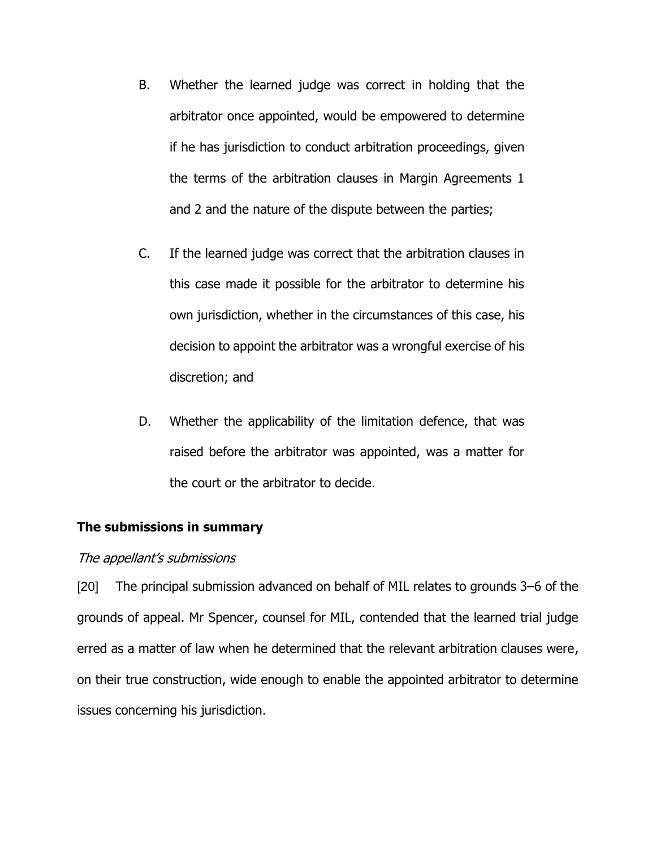- B. Whether the learned judge was correct in holding that the arbitrator once appointed, would be empowered to determine if he has jurisdiction to conduct arbitration proceedings, given the terms of the arbitration clauses in Margin Agreements 1 and 2 and the nature of the dispute between the parties;
- C. If the learned judge was correct that the arbitration clauses in this case made it possible for the arbitrator to determine his own jurisdiction, whether in the circumstances of this case, his decision to appoint the arbitrator was a wrongful exercise of his discretion; and
- D. Whether the applicability of the limitation defence, that was raised before the arbitrator was appointed, was a matter for the court or the arbitrator to decide.

### **The submissions in summary**

#### The appellant's submissions

[20] The principal submission advanced on behalf of MIL relates to grounds 3–6 of the grounds of appeal. Mr Spencer, counsel for MIL, contended that the learned trial judge erred as a matter of law when he determined that the relevant arbitration clauses were, on their true construction, wide enough to enable the appointed arbitrator to determine issues concerning his jurisdiction.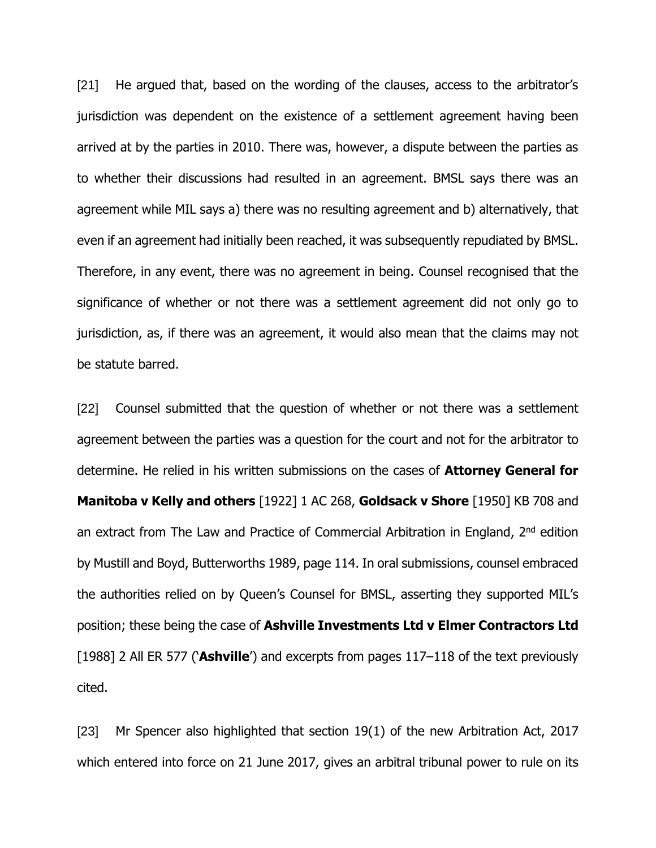[21] He argued that, based on the wording of the clauses, access to the arbitrator's jurisdiction was dependent on the existence of a settlement agreement having been arrived at by the parties in 2010. There was, however, a dispute between the parties as to whether their discussions had resulted in an agreement. BMSL says there was an agreement while MIL says a) there was no resulting agreement and b) alternatively, that even if an agreement had initially been reached, it was subsequently repudiated by BMSL. Therefore, in any event, there was no agreement in being. Counsel recognised that the significance of whether or not there was a settlement agreement did not only go to jurisdiction, as, if there was an agreement, it would also mean that the claims may not be statute barred.

[22] Counsel submitted that the question of whether or not there was a settlement agreement between the parties was a question for the court and not for the arbitrator to determine. He relied in his written submissions on the cases of **Attorney General for Manitoba v Kelly and others** [1922] 1 AC 268, **Goldsack v Shore** [1950] KB 708 and an extract from The Law and Practice of Commercial Arbitration in England, 2<sup>nd</sup> edition by Mustill and Boyd, Butterworths 1989, page 114. In oral submissions, counsel embraced the authorities relied on by Queen's Counsel for BMSL, asserting they supported MIL's position; these being the case of **Ashville Investments Ltd v Elmer Contractors Ltd** [1988] 2 All ER 577 ('**Ashville**') and excerpts from pages 117–118 of the text previously cited.

[23] Mr Spencer also highlighted that section 19(1) of the new Arbitration Act, 2017 which entered into force on 21 June 2017, gives an arbitral tribunal power to rule on its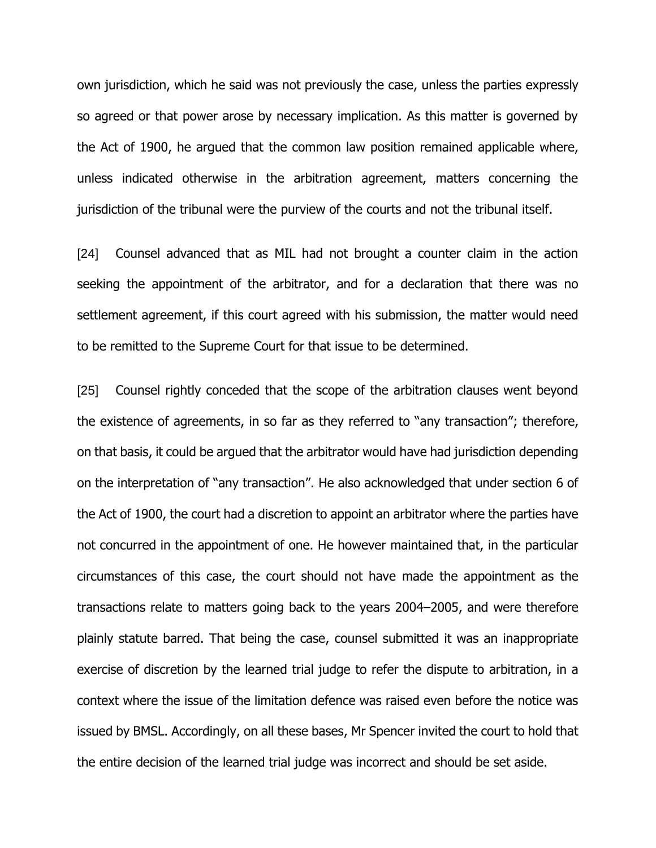own jurisdiction, which he said was not previously the case, unless the parties expressly so agreed or that power arose by necessary implication. As this matter is governed by the Act of 1900, he argued that the common law position remained applicable where, unless indicated otherwise in the arbitration agreement, matters concerning the jurisdiction of the tribunal were the purview of the courts and not the tribunal itself.

[24] Counsel advanced that as MIL had not brought a counter claim in the action seeking the appointment of the arbitrator, and for a declaration that there was no settlement agreement, if this court agreed with his submission, the matter would need to be remitted to the Supreme Court for that issue to be determined.

[25] Counsel rightly conceded that the scope of the arbitration clauses went beyond the existence of agreements, in so far as they referred to "any transaction"; therefore, on that basis, it could be argued that the arbitrator would have had jurisdiction depending on the interpretation of "any transaction". He also acknowledged that under section 6 of the Act of 1900, the court had a discretion to appoint an arbitrator where the parties have not concurred in the appointment of one. He however maintained that, in the particular circumstances of this case, the court should not have made the appointment as the transactions relate to matters going back to the years 2004–2005, and were therefore plainly statute barred. That being the case, counsel submitted it was an inappropriate exercise of discretion by the learned trial judge to refer the dispute to arbitration, in a context where the issue of the limitation defence was raised even before the notice was issued by BMSL. Accordingly, on all these bases, Mr Spencer invited the court to hold that the entire decision of the learned trial judge was incorrect and should be set aside.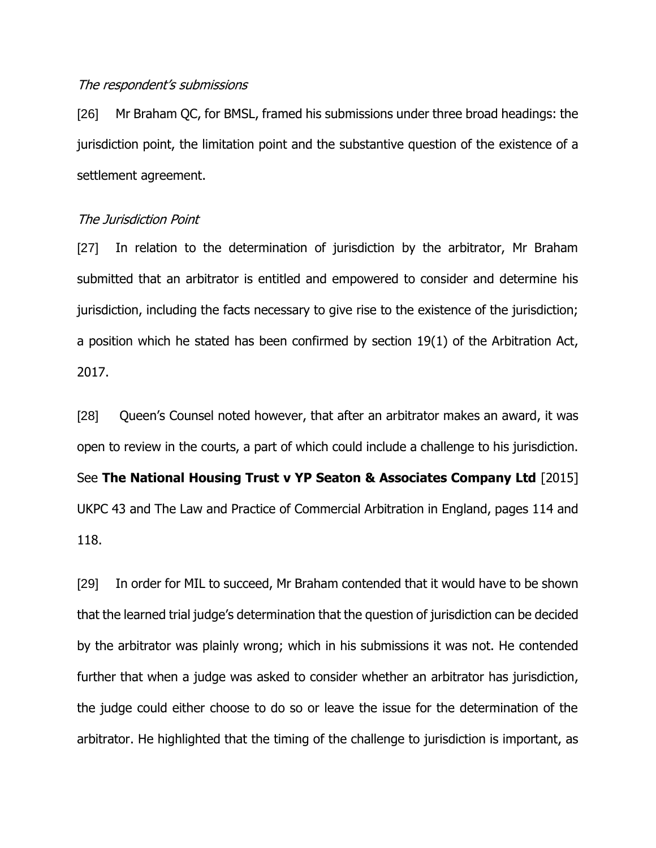#### The respondent's submissions

[26] Mr Braham QC, for BMSL, framed his submissions under three broad headings: the jurisdiction point, the limitation point and the substantive question of the existence of a settlement agreement.

### The Jurisdiction Point

[27] In relation to the determination of jurisdiction by the arbitrator, Mr Braham submitted that an arbitrator is entitled and empowered to consider and determine his jurisdiction, including the facts necessary to give rise to the existence of the jurisdiction; a position which he stated has been confirmed by section 19(1) of the Arbitration Act, 2017.

[28] Queen's Counsel noted however, that after an arbitrator makes an award, it was open to review in the courts, a part of which could include a challenge to his jurisdiction. See **The National Housing Trust v YP Seaton & Associates Company Ltd** [2015] UKPC 43 and The Law and Practice of Commercial Arbitration in England, pages 114 and 118.

[29] In order for MIL to succeed, Mr Braham contended that it would have to be shown that the learned trial judge's determination that the question of jurisdiction can be decided by the arbitrator was plainly wrong; which in his submissions it was not. He contended further that when a judge was asked to consider whether an arbitrator has jurisdiction, the judge could either choose to do so or leave the issue for the determination of the arbitrator. He highlighted that the timing of the challenge to jurisdiction is important, as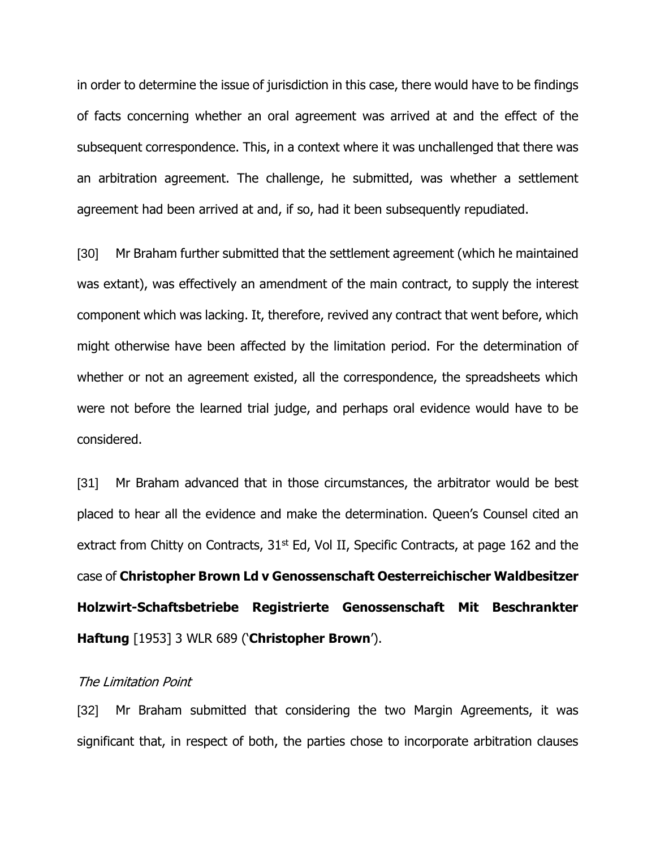in order to determine the issue of jurisdiction in this case, there would have to be findings of facts concerning whether an oral agreement was arrived at and the effect of the subsequent correspondence. This, in a context where it was unchallenged that there was an arbitration agreement. The challenge, he submitted, was whether a settlement agreement had been arrived at and, if so, had it been subsequently repudiated.

[30] Mr Braham further submitted that the settlement agreement (which he maintained was extant), was effectively an amendment of the main contract, to supply the interest component which was lacking. It, therefore, revived any contract that went before, which might otherwise have been affected by the limitation period. For the determination of whether or not an agreement existed, all the correspondence, the spreadsheets which were not before the learned trial judge, and perhaps oral evidence would have to be considered.

[31] Mr Braham advanced that in those circumstances, the arbitrator would be best placed to hear all the evidence and make the determination. Queen's Counsel cited an extract from Chitty on Contracts,  $31<sup>st</sup>$  Ed, Vol II, Specific Contracts, at page 162 and the case of **Christopher Brown Ld v Genossenschaft Oesterreichischer Waldbesitzer Holzwirt-Schaftsbetriebe Registrierte Genossenschaft Mit Beschrankter Haftung** [1953] 3 WLR 689 ('**Christopher Brown**').

#### The Limitation Point

[32] Mr Braham submitted that considering the two Margin Agreements, it was significant that, in respect of both, the parties chose to incorporate arbitration clauses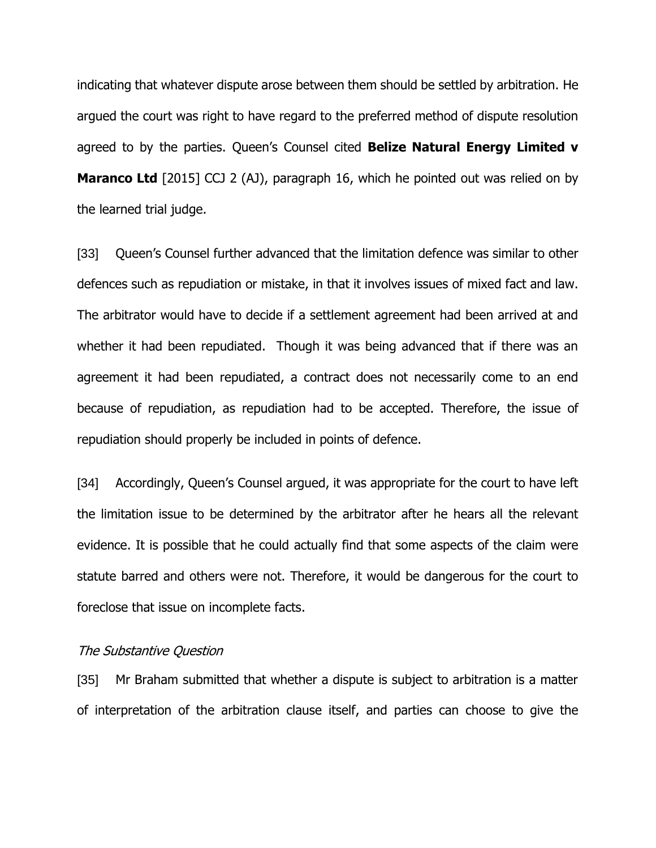indicating that whatever dispute arose between them should be settled by arbitration. He argued the court was right to have regard to the preferred method of dispute resolution agreed to by the parties. Queen's Counsel cited **Belize Natural Energy Limited v Maranco Ltd** [2015] CCJ 2 (AJ), paragraph 16, which he pointed out was relied on by the learned trial judge.

[33] Queen's Counsel further advanced that the limitation defence was similar to other defences such as repudiation or mistake, in that it involves issues of mixed fact and law. The arbitrator would have to decide if a settlement agreement had been arrived at and whether it had been repudiated. Though it was being advanced that if there was an agreement it had been repudiated, a contract does not necessarily come to an end because of repudiation, as repudiation had to be accepted. Therefore, the issue of repudiation should properly be included in points of defence.

[34] Accordingly, Queen's Counsel argued, it was appropriate for the court to have left the limitation issue to be determined by the arbitrator after he hears all the relevant evidence. It is possible that he could actually find that some aspects of the claim were statute barred and others were not. Therefore, it would be dangerous for the court to foreclose that issue on incomplete facts.

#### The Substantive Question

[35] Mr Braham submitted that whether a dispute is subject to arbitration is a matter of interpretation of the arbitration clause itself, and parties can choose to give the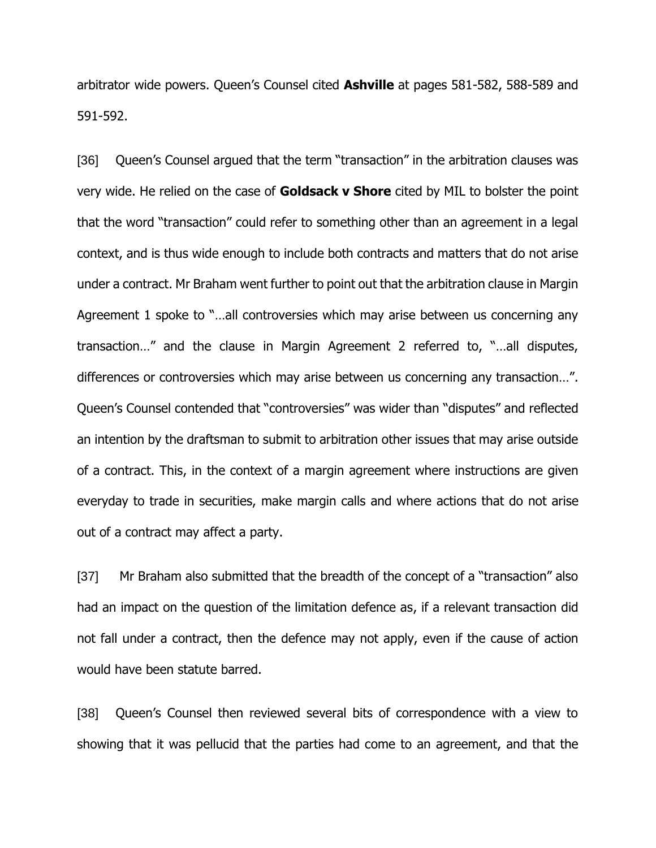arbitrator wide powers. Queen's Counsel cited **Ashville** at pages 581-582, 588-589 and 591-592.

[36] Oueen's Counsel argued that the term "transaction" in the arbitration clauses was very wide. He relied on the case of **Goldsack v Shore** cited by MIL to bolster the point that the word "transaction" could refer to something other than an agreement in a legal context, and is thus wide enough to include both contracts and matters that do not arise under a contract. Mr Braham went further to point out that the arbitration clause in Margin Agreement 1 spoke to "…all controversies which may arise between us concerning any transaction…" and the clause in Margin Agreement 2 referred to, "…all disputes, differences or controversies which may arise between us concerning any transaction…". Queen's Counsel contended that "controversies" was wider than "disputes" and reflected an intention by the draftsman to submit to arbitration other issues that may arise outside of a contract. This, in the context of a margin agreement where instructions are given everyday to trade in securities, make margin calls and where actions that do not arise out of a contract may affect a party.

[37] Mr Braham also submitted that the breadth of the concept of a "transaction" also had an impact on the question of the limitation defence as, if a relevant transaction did not fall under a contract, then the defence may not apply, even if the cause of action would have been statute barred.

[38] Queen's Counsel then reviewed several bits of correspondence with a view to showing that it was pellucid that the parties had come to an agreement, and that the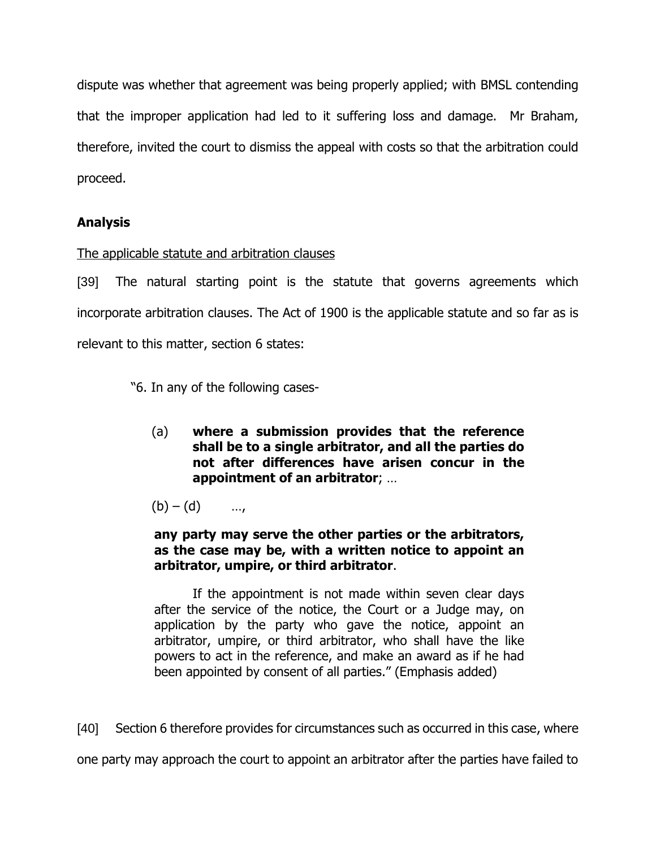dispute was whether that agreement was being properly applied; with BMSL contending that the improper application had led to it suffering loss and damage. Mr Braham, therefore, invited the court to dismiss the appeal with costs so that the arbitration could proceed.

# **Analysis**

### The applicable statute and arbitration clauses

[39] The natural starting point is the statute that governs agreements which incorporate arbitration clauses. The Act of 1900 is the applicable statute and so far as is relevant to this matter, section 6 states:

"6. In any of the following cases-

 (a) **where a submission provides that the reference shall be to a single arbitrator, and all the parties do not after differences have arisen concur in the appointment of an arbitrator**; …

 $(b) - (d)$  …,

# **any party may serve the other parties or the arbitrators, as the case may be, with a written notice to appoint an arbitrator, umpire, or third arbitrator**.

If the appointment is not made within seven clear days after the service of the notice, the Court or a Judge may, on application by the party who gave the notice, appoint an arbitrator, umpire, or third arbitrator, who shall have the like powers to act in the reference, and make an award as if he had been appointed by consent of all parties." (Emphasis added)

[40] Section 6 therefore provides for circumstances such as occurred in this case, where one party may approach the court to appoint an arbitrator after the parties have failed to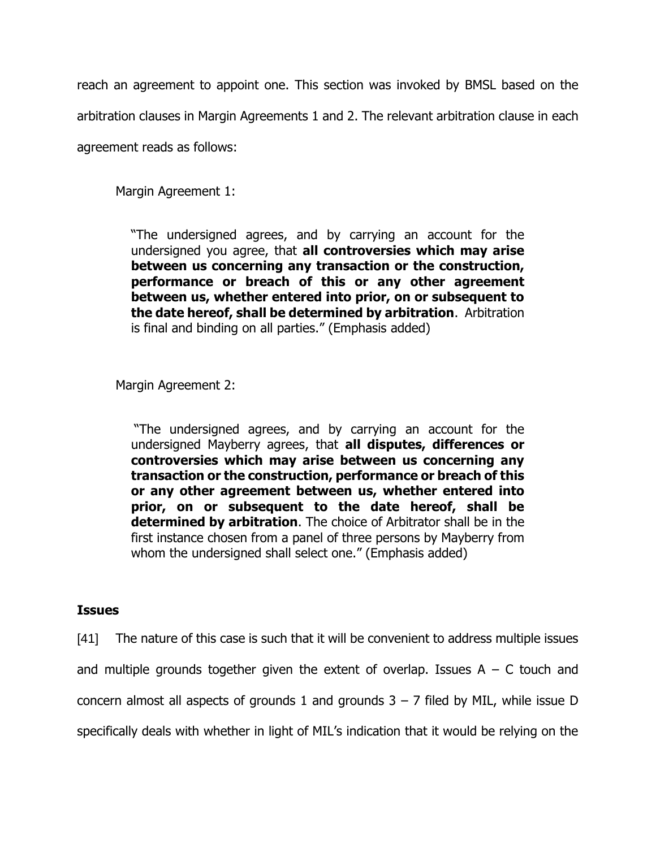reach an agreement to appoint one. This section was invoked by BMSL based on the arbitration clauses in Margin Agreements 1 and 2. The relevant arbitration clause in each agreement reads as follows:

Margin Agreement 1:

"The undersigned agrees, and by carrying an account for the undersigned you agree, that **all controversies which may arise between us concerning any transaction or the construction, performance or breach of this or any other agreement between us, whether entered into prior, on or subsequent to the date hereof, shall be determined by arbitration**. Arbitration is final and binding on all parties." (Emphasis added)

Margin Agreement 2:

"The undersigned agrees, and by carrying an account for the undersigned Mayberry agrees, that **all disputes, differences or controversies which may arise between us concerning any transaction or the construction, performance or breach of this or any other agreement between us, whether entered into prior, on or subsequent to the date hereof, shall be determined by arbitration**. The choice of Arbitrator shall be in the first instance chosen from a panel of three persons by Mayberry from whom the undersigned shall select one." (Emphasis added)

### **Issues**

[41] The nature of this case is such that it will be convenient to address multiple issues and multiple grounds together given the extent of overlap. Issues  $A - C$  touch and concern almost all aspects of grounds 1 and grounds  $3 - 7$  filed by MIL, while issue D specifically deals with whether in light of MIL's indication that it would be relying on the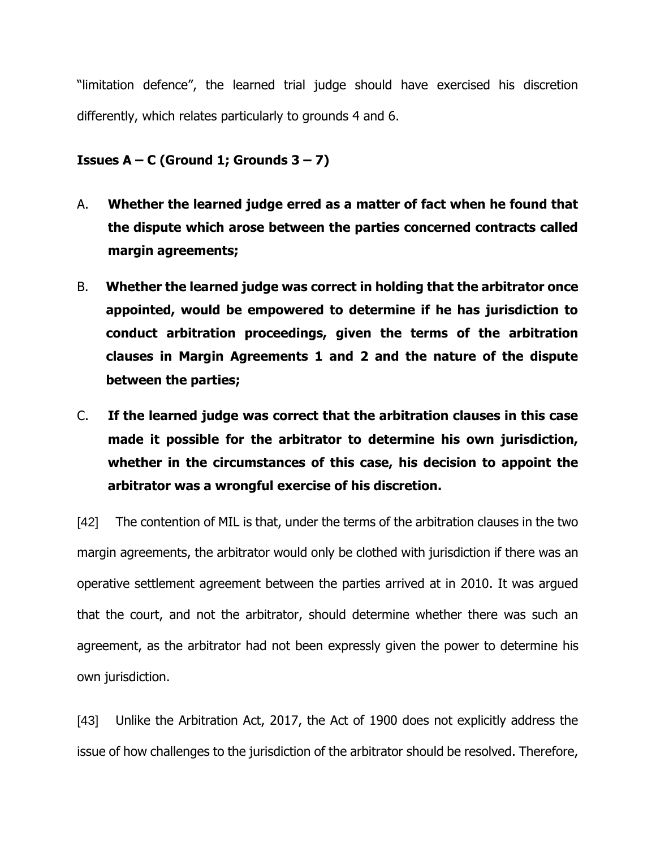"limitation defence", the learned trial judge should have exercised his discretion differently, which relates particularly to grounds 4 and 6.

# **Issues A – C (Ground 1; Grounds 3 – 7)**

- A. **Whether the learned judge erred as a matter of fact when he found that the dispute which arose between the parties concerned contracts called margin agreements;**
- B. **Whether the learned judge was correct in holding that the arbitrator once appointed, would be empowered to determine if he has jurisdiction to conduct arbitration proceedings, given the terms of the arbitration clauses in Margin Agreements 1 and 2 and the nature of the dispute between the parties;**
- C. **If the learned judge was correct that the arbitration clauses in this case made it possible for the arbitrator to determine his own jurisdiction, whether in the circumstances of this case, his decision to appoint the arbitrator was a wrongful exercise of his discretion.**

[42] The contention of MIL is that, under the terms of the arbitration clauses in the two margin agreements, the arbitrator would only be clothed with jurisdiction if there was an operative settlement agreement between the parties arrived at in 2010. It was argued that the court, and not the arbitrator, should determine whether there was such an agreement, as the arbitrator had not been expressly given the power to determine his own jurisdiction.

[43] Unlike the Arbitration Act, 2017, the Act of 1900 does not explicitly address the issue of how challenges to the jurisdiction of the arbitrator should be resolved. Therefore,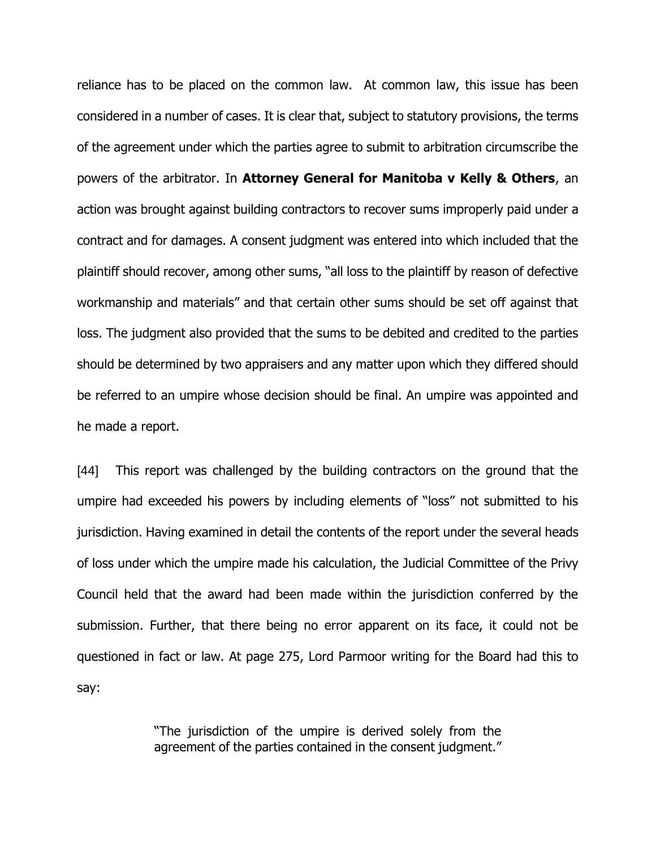reliance has to be placed on the common law. At common law, this issue has been considered in a number of cases. It is clear that, subject to statutory provisions, the terms of the agreement under which the parties agree to submit to arbitration circumscribe the powers of the arbitrator. In **Attorney General for Manitoba v Kelly & Others**, an action was brought against building contractors to recover sums improperly paid under a contract and for damages. A consent judgment was entered into which included that the plaintiff should recover, among other sums, "all loss to the plaintiff by reason of defective workmanship and materials" and that certain other sums should be set off against that loss. The judgment also provided that the sums to be debited and credited to the parties should be determined by two appraisers and any matter upon which they differed should be referred to an umpire whose decision should be final. An umpire was appointed and he made a report.

[44] This report was challenged by the building contractors on the ground that the umpire had exceeded his powers by including elements of "loss" not submitted to his jurisdiction. Having examined in detail the contents of the report under the several heads of loss under which the umpire made his calculation, the Judicial Committee of the Privy Council held that the award had been made within the jurisdiction conferred by the submission. Further, that there being no error apparent on its face, it could not be questioned in fact or law. At page 275, Lord Parmoor writing for the Board had this to say:

> "The iurisdiction of the umpire is derived solely from the agreement of the parties contained in the consent judgment."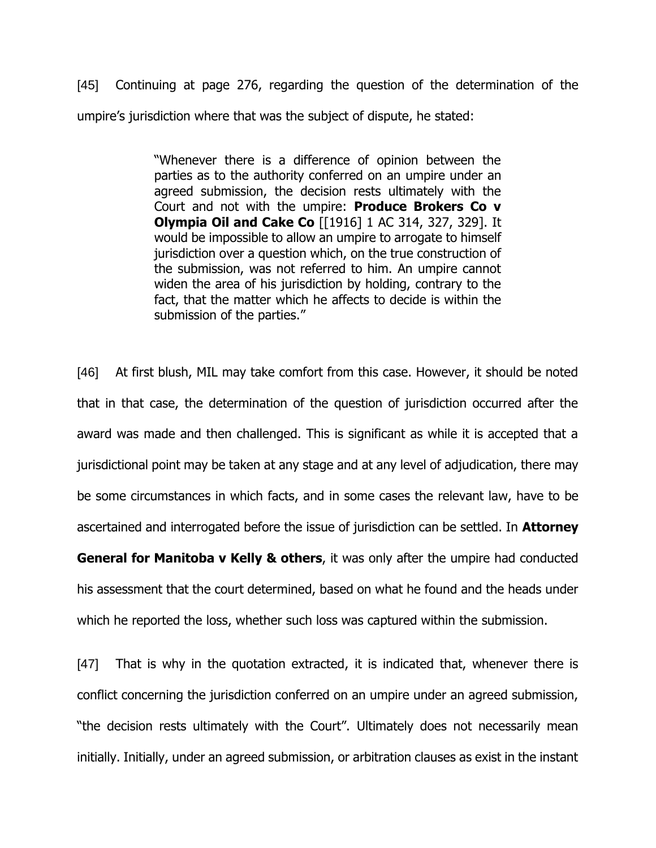[45] Continuing at page 276, regarding the question of the determination of the umpire's jurisdiction where that was the subject of dispute, he stated:

> "Whenever there is a difference of opinion between the parties as to the authority conferred on an umpire under an agreed submission, the decision rests ultimately with the Court and not with the umpire: **[Produce Brokers Co v](https://1.next.westlaw.com/Link/Document/FullText?findType=Y&serNum=1915046259&pubNum=999&originatingDoc=I69A6FDA1E42711DA8FC2A0F0355337E9&refType=UC&originationContext=document&transitionType=DocumentItem&contextData=(sc.DocLink))  [Olympia Oil and Cake Co](https://1.next.westlaw.com/Link/Document/FullText?findType=Y&serNum=1915046259&pubNum=999&originatingDoc=I69A6FDA1E42711DA8FC2A0F0355337E9&refType=UC&originationContext=document&transitionType=DocumentItem&contextData=(sc.DocLink))** [[1916] 1 AC 314, 327, 329]. It would be impossible to allow an umpire to arrogate to himself jurisdiction over a question which, on the true construction of the submission, was not referred to him. An umpire cannot widen the area of his jurisdiction by holding, contrary to the fact, that the matter which he affects to decide is within the submission of the parties."

[46] At first blush, MIL may take comfort from this case. However, it should be noted that in that case, the determination of the question of jurisdiction occurred after the award was made and then challenged. This is significant as while it is accepted that a jurisdictional point may be taken at any stage and at any level of adjudication, there may be some circumstances in which facts, and in some cases the relevant law, have to be ascertained and interrogated before the issue of jurisdiction can be settled. In **Attorney** 

**General for Manitoba v Kelly & others**, it was only after the umpire had conducted his assessment that the court determined, based on what he found and the heads under which he reported the loss, whether such loss was captured within the submission.

[47] That is why in the quotation extracted, it is indicated that, whenever there is conflict concerning the jurisdiction conferred on an umpire under an agreed submission, "the decision rests ultimately with the Court". Ultimately does not necessarily mean initially. Initially, under an agreed submission, or arbitration clauses as exist in the instant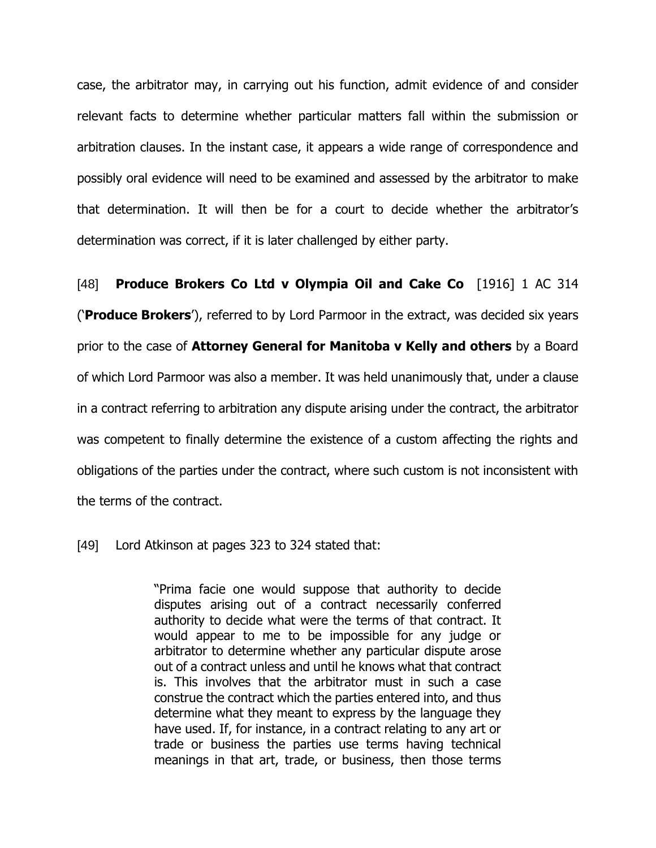case, the arbitrator may, in carrying out his function, admit evidence of and consider relevant facts to determine whether particular matters fall within the submission or arbitration clauses. In the instant case, it appears a wide range of correspondence and possibly oral evidence will need to be examined and assessed by the arbitrator to make that determination. It will then be for a court to decide whether the arbitrator's determination was correct, if it is later challenged by either party.

[48] **Produce Brokers Co Ltd v Olympia Oil and Cake Co** [1916] 1 AC 314 ('**Produce Brokers**'), referred to by Lord Parmoor in the extract, was decided six years prior to the case of **Attorney General for Manitoba v Kelly and others** by a Board of which Lord Parmoor was also a member. It was held unanimously that, under a clause in a contract referring to arbitration any dispute arising under the contract, the arbitrator was competent to finally determine the existence of a custom affecting the rights and obligations of the parties under the contract, where such custom is not inconsistent with the terms of the contract.

[49] Lord Atkinson at pages 323 to 324 stated that:

"Prima facie one would suppose that authority to decide disputes arising out of a contract necessarily conferred authority to decide what were the terms of that contract. It would appear to me to be impossible for any judge or arbitrator to determine whether any particular dispute arose out of a contract unless and until he knows what that contract is. This involves that the arbitrator must in such a case construe the contract which the parties entered into, and thus determine what they meant to express by the language they have used. If, for instance, in a contract relating to any art or trade or business the parties use terms having technical meanings in that art, trade, or business, then those terms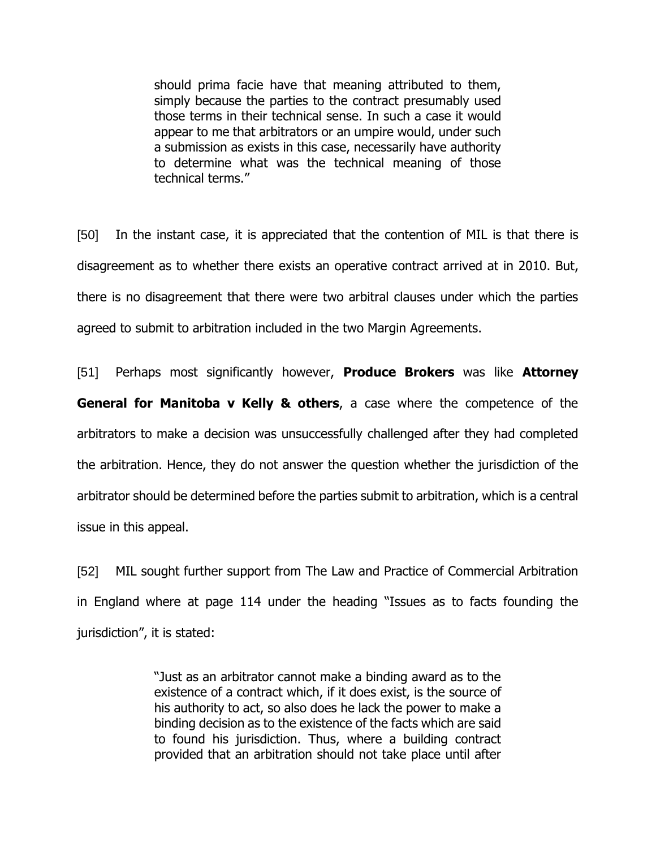should prima facie have that meaning attributed to them, simply because the parties to the contract presumably used those terms in their technical sense. In such a case it would appear to me that arbitrators or an umpire would, under such a submission as exists in this case, necessarily have authority to determine what was the technical meaning of those technical terms."

[50] In the instant case, it is appreciated that the contention of MIL is that there is disagreement as to whether there exists an operative contract arrived at in 2010. But, there is no disagreement that there were two arbitral clauses under which the parties agreed to submit to arbitration included in the two Margin Agreements.

[51] Perhaps most significantly however, **Produce Brokers** was like **Attorney General for Manitoba v Kelly & others**, a case where the competence of the arbitrators to make a decision was unsuccessfully challenged after they had completed the arbitration. Hence, they do not answer the question whether the jurisdiction of the arbitrator should be determined before the parties submit to arbitration, which is a central issue in this appeal.

[52] MIL sought further support from The Law and Practice of Commercial Arbitration in England where at page 114 under the heading "Issues as to facts founding the jurisdiction", it is stated:

> "Just as an arbitrator cannot make a binding award as to the existence of a contract which, if it does exist, is the source of his authority to act, so also does he lack the power to make a binding decision as to the existence of the facts which are said to found his jurisdiction. Thus, where a building contract provided that an arbitration should not take place until after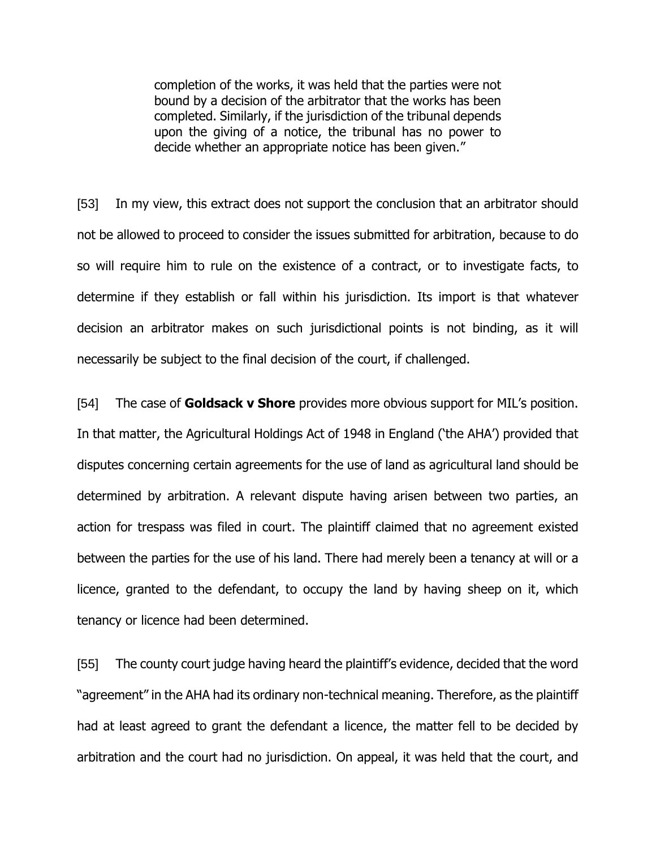completion of the works, it was held that the parties were not bound by a decision of the arbitrator that the works has been completed. Similarly, if the jurisdiction of the tribunal depends upon the giving of a notice, the tribunal has no power to decide whether an appropriate notice has been given."

[53] In my view, this extract does not support the conclusion that an arbitrator should not be allowed to proceed to consider the issues submitted for arbitration, because to do so will require him to rule on the existence of a contract, or to investigate facts, to determine if they establish or fall within his jurisdiction. Its import is that whatever decision an arbitrator makes on such jurisdictional points is not binding, as it will necessarily be subject to the final decision of the court, if challenged.

[54] The case of **Goldsack v Shore** provides more obvious support for MIL's position. In that matter, the Agricultural Holdings Act of 1948 in England ('the AHA') provided that disputes concerning certain agreements for the use of land as agricultural land should be determined by arbitration. A relevant dispute having arisen between two parties, an action for trespass was filed in court. The plaintiff claimed that no agreement existed between the parties for the use of his land. There had merely been a tenancy at will or a licence, granted to the defendant, to occupy the land by having sheep on it, which tenancy or licence had been determined.

[55] The county court judge having heard the plaintiff's evidence, decided that the word "agreement" in the AHA had its ordinary non-technical meaning. Therefore, as the plaintiff had at least agreed to grant the defendant a licence, the matter fell to be decided by arbitration and the court had no jurisdiction. On appeal, it was held that the court, and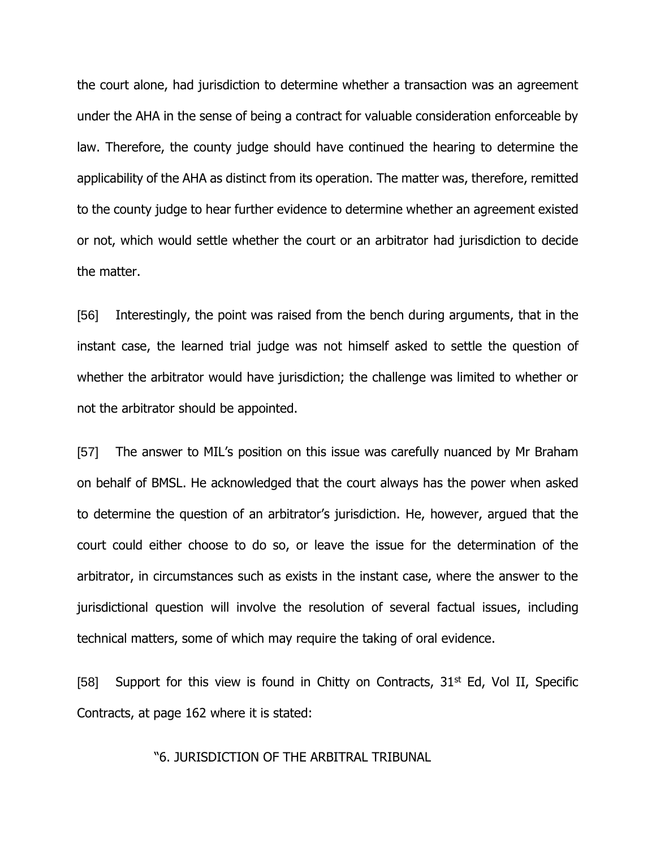the court alone, had jurisdiction to determine whether a transaction was an agreement under the AHA in the sense of being a contract for valuable consideration enforceable by law. Therefore, the county judge should have continued the hearing to determine the applicability of the AHA as distinct from its operation. The matter was, therefore, remitted to the county judge to hear further evidence to determine whether an agreement existed or not, which would settle whether the court or an arbitrator had jurisdiction to decide the matter.

[56] Interestingly, the point was raised from the bench during arguments, that in the instant case, the learned trial judge was not himself asked to settle the question of whether the arbitrator would have jurisdiction; the challenge was limited to whether or not the arbitrator should be appointed.

[57] The answer to MIL's position on this issue was carefully nuanced by Mr Braham on behalf of BMSL. He acknowledged that the court always has the power when asked to determine the question of an arbitrator's jurisdiction. He, however, argued that the court could either choose to do so, or leave the issue for the determination of the arbitrator, in circumstances such as exists in the instant case, where the answer to the jurisdictional question will involve the resolution of several factual issues, including technical matters, some of which may require the taking of oral evidence.

[58] Support for this view is found in Chitty on Contracts,  $31<sup>st</sup>$  Ed, Vol II, Specific Contracts, at page 162 where it is stated:

"6. JURISDICTION OF THE ARBITRAL TRIBUNAL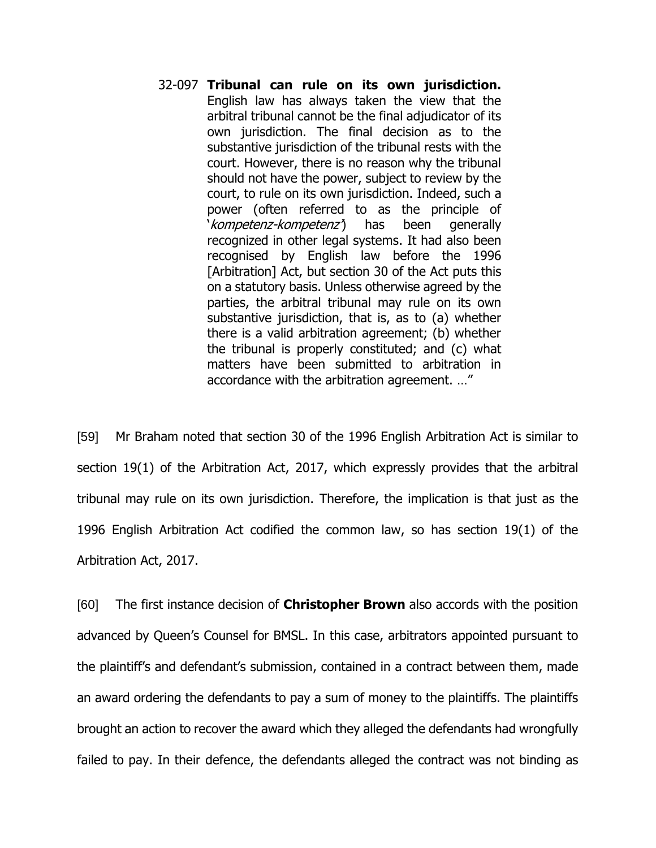32-097 **Tribunal can rule on its own jurisdiction.**  English law has always taken the view that the arbitral tribunal cannot be the final adjudicator of its own jurisdiction. The final decision as to the substantive jurisdiction of the tribunal rests with the court. However, there is no reason why the tribunal should not have the power, subject to review by the court, to rule on its own jurisdiction. Indeed, such a power (often referred to as the principle of 'kompetenz-kompetenz') has been generally recognized in other legal systems. It had also been recognised by English law before the 1996 [Arbitration] Act, but section 30 of the Act puts this on a statutory basis. Unless otherwise agreed by the parties, the arbitral tribunal may rule on its own substantive jurisdiction, that is, as to (a) whether there is a valid arbitration agreement; (b) whether the tribunal is properly constituted; and (c) what matters have been submitted to arbitration in accordance with the arbitration agreement. …"

[59] Mr Braham noted that section 30 of the 1996 English Arbitration Act is similar to section 19(1) of the Arbitration Act, 2017, which expressly provides that the arbitral tribunal may rule on its own jurisdiction. Therefore, the implication is that just as the 1996 English Arbitration Act codified the common law, so has section 19(1) of the Arbitration Act, 2017.

[60] The first instance decision of **Christopher Brown** also accords with the position advanced by Queen's Counsel for BMSL. In this case, arbitrators appointed pursuant to the plaintiff's and defendant's submission, contained in a contract between them, made an award ordering the defendants to pay a sum of money to the plaintiffs. The plaintiffs brought an action to recover the award which they alleged the defendants had wrongfully failed to pay. In their defence, the defendants alleged the contract was not binding as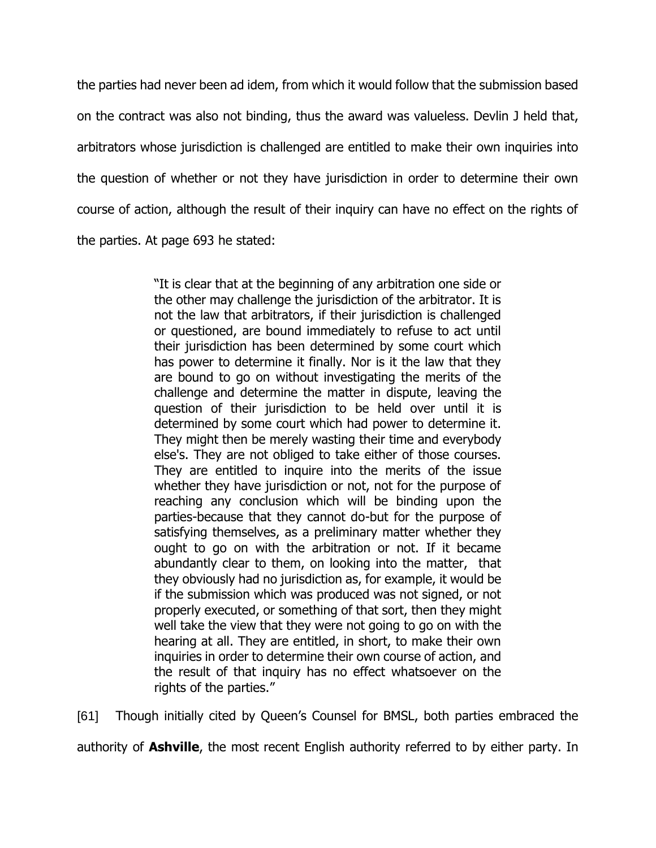the parties had never been ad idem, from which it would follow that the submission based on the contract was also not binding, thus the award was valueless. Devlin J held that, arbitrators whose jurisdiction is challenged are entitled to make their own inquiries into the question of whether or not they have jurisdiction in order to determine their own course of action, although the result of their inquiry can have no effect on the rights of the parties. At page 693 he stated:

> "It is clear that at the beginning of any arbitration one side or the other may challenge the jurisdiction of the arbitrator. It is not the law that arbitrators, if their jurisdiction is challenged or questioned, are bound immediately to refuse to act until their jurisdiction has been determined by some court which has power to determine it finally. Nor is it the law that they are bound to go on without investigating the merits of the challenge and determine the matter in dispute, leaving the question of their jurisdiction to be held over until it is determined by some court which had power to determine it. They might then be merely wasting their time and everybody else's. They are not obliged to take either of those courses. They are entitled to inquire into the merits of the issue whether they have jurisdiction or not, not for the purpose of reaching any conclusion which will be binding upon the parties-because that they cannot do-but for the purpose of satisfying themselves, as a preliminary matter whether they ought to go on with the arbitration or not. If it became abundantly clear to them, on looking into the matter, that they obviously had no jurisdiction as, for example, it would be if the submission which was produced was not signed, or not properly executed, or something of that sort, then they might well take the view that they were not going to go on with the hearing at all. They are entitled, in short, to make their own inquiries in order to determine their own course of action, and the result of that inquiry has no effect whatsoever on the rights of the parties."

[61] Though initially cited by Queen's Counsel for BMSL, both parties embraced the

authority of **Ashville**, the most recent English authority referred to by either party. In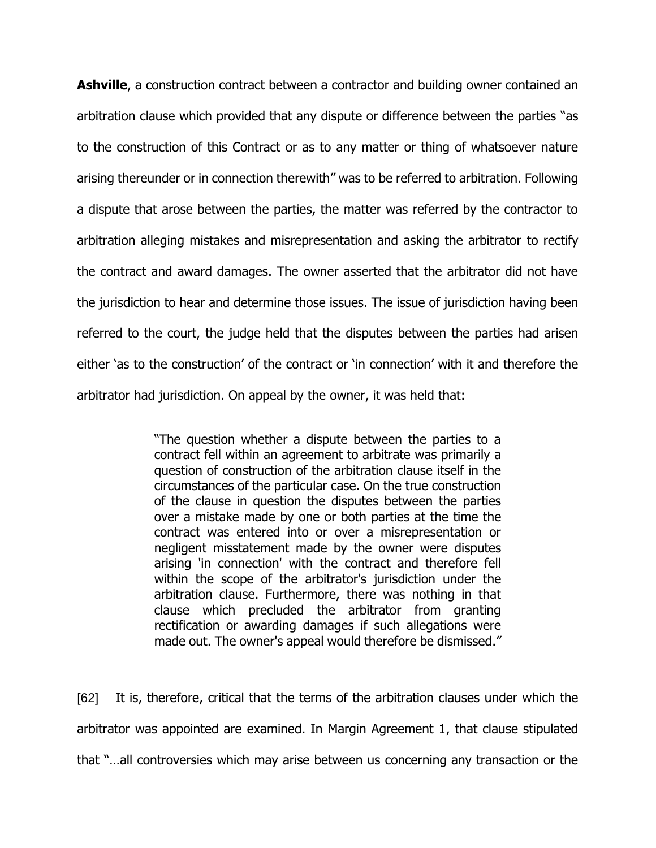**Ashville**, a construction contract between a contractor and building owner contained an arbitration clause which provided that any dispute or difference between the parties "as to the construction of this Contract or as to any matter or thing of whatsoever nature arising thereunder or in connection therewith" was to be referred to arbitration. Following a dispute that arose between the parties, the matter was referred by the contractor to arbitration alleging mistakes and misrepresentation and asking the arbitrator to rectify the contract and award damages. The owner asserted that the arbitrator did not have the jurisdiction to hear and determine those issues. The issue of jurisdiction having been referred to the court, the judge held that the disputes between the parties had arisen either 'as to the construction' of the contract or 'in connection' with it and therefore the arbitrator had jurisdiction. On appeal by the owner, it was held that:

> "The question whether a dispute between the parties to a contract fell within an agreement to arbitrate was primarily a question of construction of the arbitration clause itself in the circumstances of the particular case. On the true construction of the clause in question the disputes between the parties over a mistake made by one or both parties at the time the contract was entered into or over a misrepresentation or negligent misstatement made by the owner were disputes arising 'in connection' with the contract and therefore fell within the scope of the arbitrator's jurisdiction under the arbitration clause. Furthermore, there was nothing in that clause which precluded the arbitrator from granting rectification or awarding damages if such allegations were made out. The owner's appeal would therefore be dismissed."

[62] It is, therefore, critical that the terms of the arbitration clauses under which the arbitrator was appointed are examined. In Margin Agreement 1, that clause stipulated that "…all controversies which may arise between us concerning any transaction or the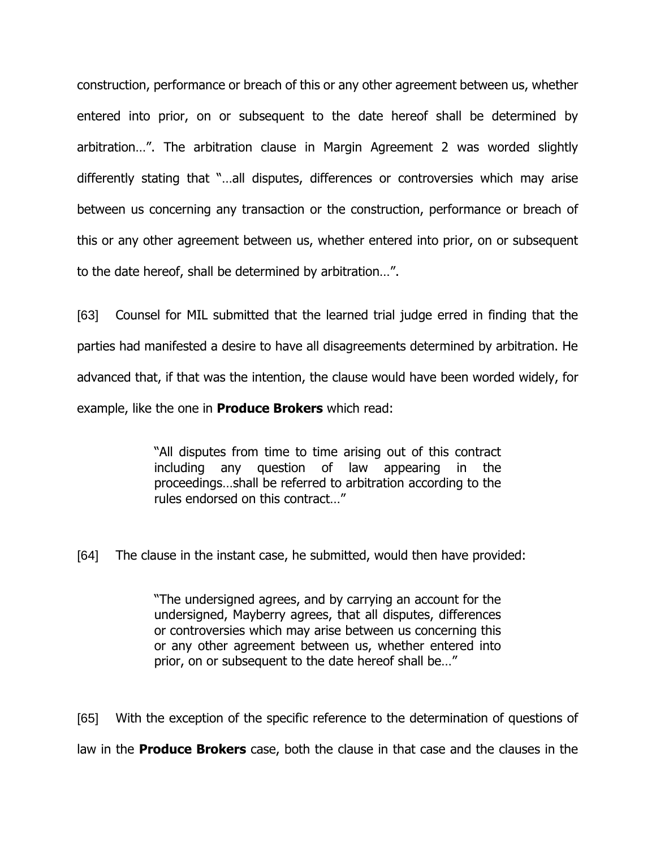construction, performance or breach of this or any other agreement between us, whether entered into prior, on or subsequent to the date hereof shall be determined by arbitration…". The arbitration clause in Margin Agreement 2 was worded slightly differently stating that "…all disputes, differences or controversies which may arise between us concerning any transaction or the construction, performance or breach of this or any other agreement between us, whether entered into prior, on or subsequent to the date hereof, shall be determined by arbitration…".

[63] Counsel for MIL submitted that the learned trial judge erred in finding that the parties had manifested a desire to have all disagreements determined by arbitration. He advanced that, if that was the intention, the clause would have been worded widely, for example, like the one in **Produce Brokers** which read:

> "All disputes from time to time arising out of this contract including any question of law appearing in the proceedings…shall be referred to arbitration according to the rules endorsed on this contract…"

[64] The clause in the instant case, he submitted, would then have provided:

"The undersigned agrees, and by carrying an account for the undersigned, Mayberry agrees, that all disputes, differences or controversies which may arise between us concerning this or any other agreement between us, whether entered into prior, on or subsequent to the date hereof shall be…"

[65] With the exception of the specific reference to the determination of questions of law in the **Produce Brokers** case, both the clause in that case and the clauses in the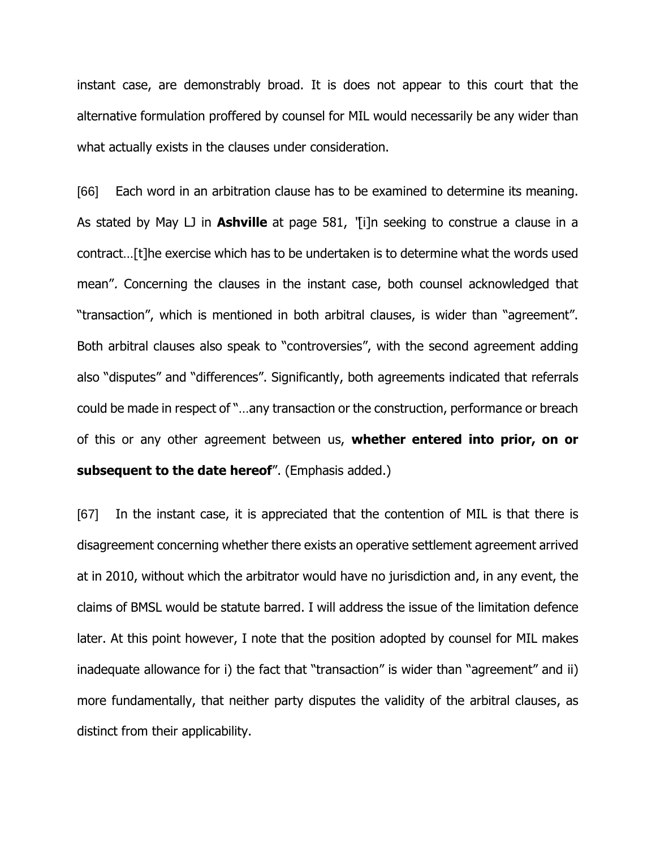instant case, are demonstrably broad. It is does not appear to this court that the alternative formulation proffered by counsel for MIL would necessarily be any wider than what actually exists in the clauses under consideration.

[66] Each word in an arbitration clause has to be examined to determine its meaning. As stated by May LJ in **Ashville** at page 581, "[i]n seeking to construe a clause in a contract…[t]he exercise which has to be undertaken is to determine what the words used mean". Concerning the clauses in the instant case, both counsel acknowledged that "transaction", which is mentioned in both arbitral clauses, is wider than "agreement". Both arbitral clauses also speak to "controversies", with the second agreement adding also "disputes" and "differences". Significantly, both agreements indicated that referrals could be made in respect of "…any transaction or the construction, performance or breach of this or any other agreement between us, **whether entered into prior, on or subsequent to the date hereof**". (Emphasis added.)

[67] In the instant case, it is appreciated that the contention of MIL is that there is disagreement concerning whether there exists an operative settlement agreement arrived at in 2010, without which the arbitrator would have no jurisdiction and, in any event, the claims of BMSL would be statute barred. I will address the issue of the limitation defence later. At this point however, I note that the position adopted by counsel for MIL makes inadequate allowance for i) the fact that "transaction" is wider than "agreement" and ii) more fundamentally, that neither party disputes the validity of the arbitral clauses, as distinct from their applicability.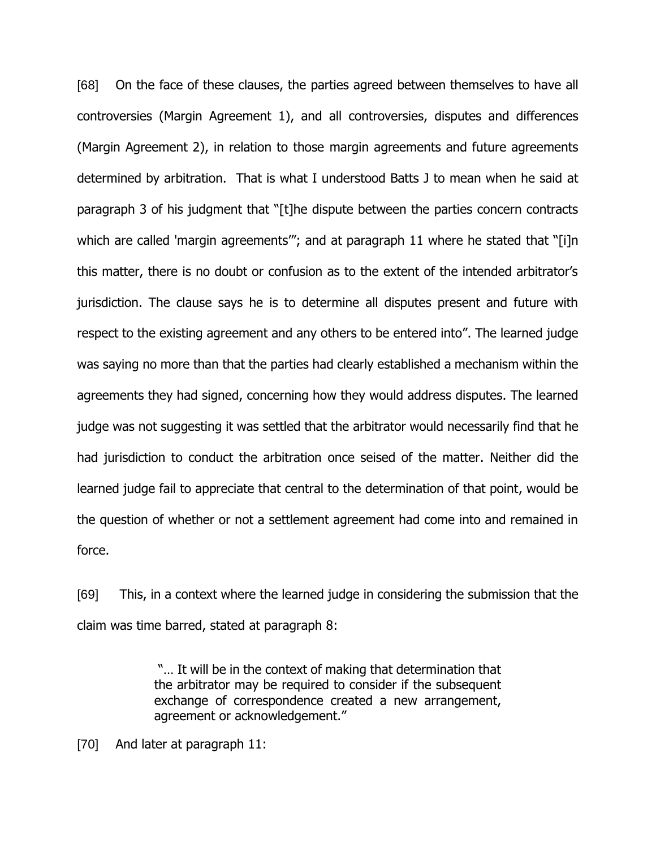[68] On the face of these clauses, the parties agreed between themselves to have all controversies (Margin Agreement 1), and all controversies, disputes and differences (Margin Agreement 2), in relation to those margin agreements and future agreements determined by arbitration. That is what I understood Batts J to mean when he said at paragraph 3 of his judgment that "[t]he dispute between the parties concern contracts which are called 'margin agreements"; and at paragraph 11 where he stated that "[i]n this matter, there is no doubt or confusion as to the extent of the intended arbitrator's jurisdiction. The clause says he is to determine all disputes present and future with respect to the existing agreement and any others to be entered into". The learned judge was saying no more than that the parties had clearly established a mechanism within the agreements they had signed, concerning how they would address disputes. The learned judge was not suggesting it was settled that the arbitrator would necessarily find that he had jurisdiction to conduct the arbitration once seised of the matter. Neither did the learned judge fail to appreciate that central to the determination of that point, would be the question of whether or not a settlement agreement had come into and remained in force.

[69] This, in a context where the learned judge in considering the submission that the claim was time barred, stated at paragraph 8:

> "… It will be in the context of making that determination that the arbitrator may be required to consider if the subsequent exchange of correspondence created a new arrangement, agreement or acknowledgement."

[70] And later at paragraph 11: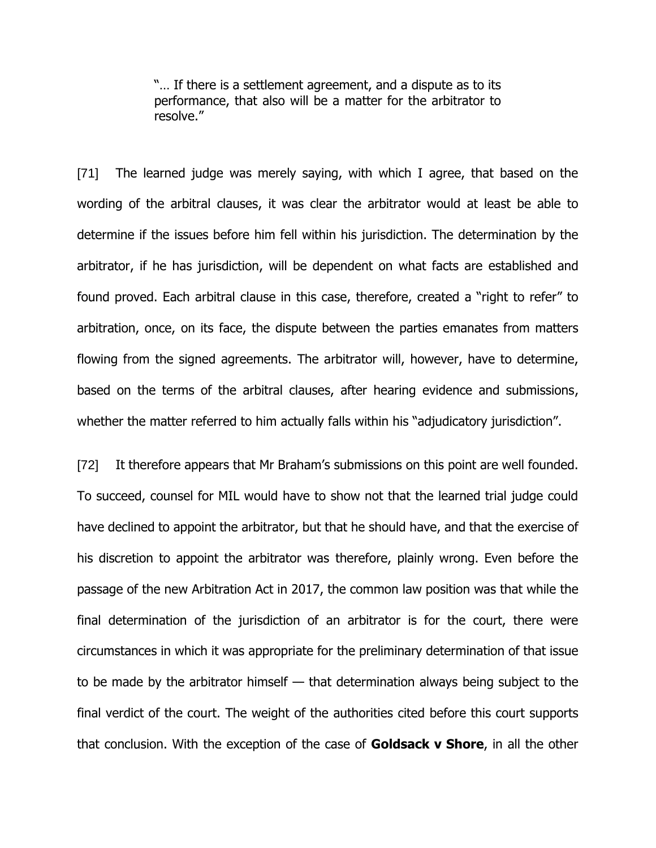"… If there is a settlement agreement, and a dispute as to its performance, that also will be a matter for the arbitrator to resolve."

[71] The learned judge was merely saying, with which I agree, that based on the wording of the arbitral clauses, it was clear the arbitrator would at least be able to determine if the issues before him fell within his jurisdiction. The determination by the arbitrator, if he has jurisdiction, will be dependent on what facts are established and found proved. Each arbitral clause in this case, therefore, created a "right to refer" to arbitration, once, on its face, the dispute between the parties emanates from matters flowing from the signed agreements. The arbitrator will, however, have to determine, based on the terms of the arbitral clauses, after hearing evidence and submissions, whether the matter referred to him actually falls within his "adjudicatory jurisdiction".

[72] It therefore appears that Mr Braham's submissions on this point are well founded. To succeed, counsel for MIL would have to show not that the learned trial judge could have declined to appoint the arbitrator, but that he should have, and that the exercise of his discretion to appoint the arbitrator was therefore, plainly wrong. Even before the passage of the new Arbitration Act in 2017, the common law position was that while the final determination of the jurisdiction of an arbitrator is for the court, there were circumstances in which it was appropriate for the preliminary determination of that issue to be made by the arbitrator himself — that determination always being subject to the final verdict of the court. The weight of the authorities cited before this court supports that conclusion. With the exception of the case of **Goldsack v Shore**, in all the other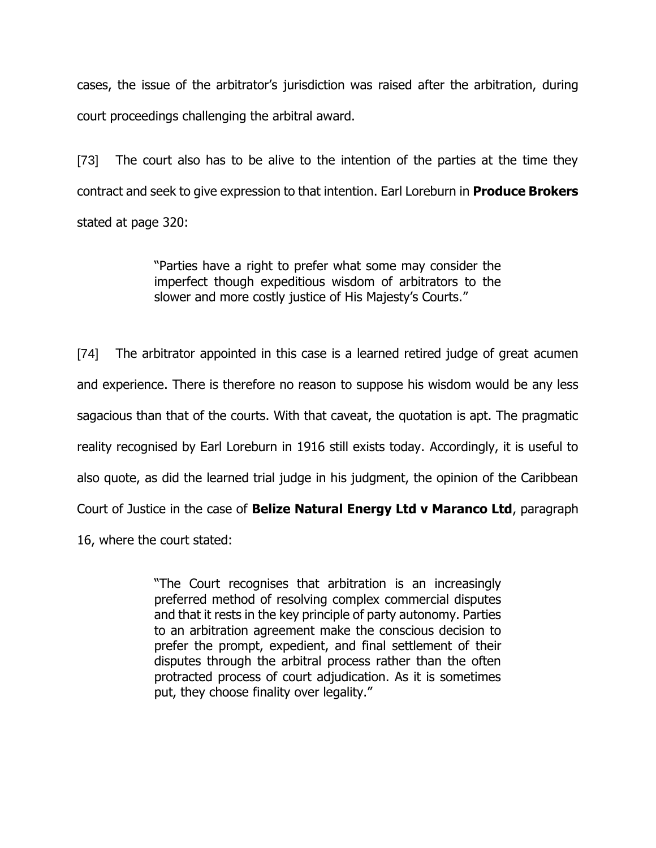cases, the issue of the arbitrator's jurisdiction was raised after the arbitration, during court proceedings challenging the arbitral award.

[73] The court also has to be alive to the intention of the parties at the time they contract and seek to give expression to that intention. Earl Loreburn in **Produce Brokers**  stated at page 320:

> "Parties have a right to prefer what some may consider the imperfect though expeditious wisdom of arbitrators to the slower and more costly justice of His Majesty's Courts."

[74] The arbitrator appointed in this case is a learned retired judge of great acumen and experience. There is therefore no reason to suppose his wisdom would be any less sagacious than that of the courts. With that caveat, the quotation is apt. The pragmatic reality recognised by Earl Loreburn in 1916 still exists today. Accordingly, it is useful to also quote, as did the learned trial judge in his judgment, the opinion of the Caribbean Court of Justice in the case of **Belize Natural Energy Ltd v Maranco Ltd**, paragraph 16, where the court stated:

> "The Court recognises that arbitration is an increasingly preferred method of resolving complex commercial disputes and that it rests in the key principle of party autonomy. Parties to an arbitration agreement make the conscious decision to prefer the prompt, expedient, and final settlement of their disputes through the arbitral process rather than the often protracted process of court adjudication. As it is sometimes put, they choose finality over legality."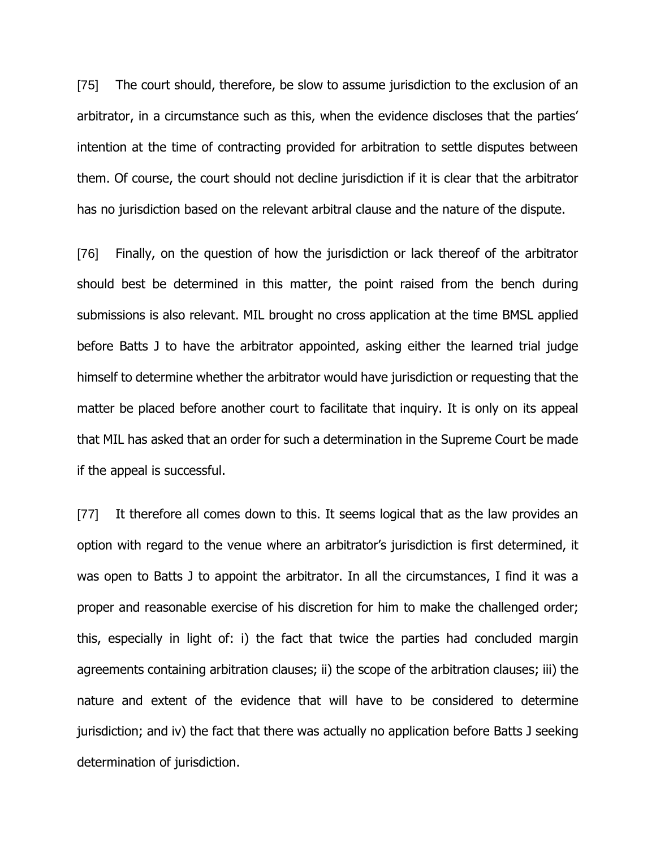[75] The court should, therefore, be slow to assume jurisdiction to the exclusion of an arbitrator, in a circumstance such as this, when the evidence discloses that the parties' intention at the time of contracting provided for arbitration to settle disputes between them. Of course, the court should not decline jurisdiction if it is clear that the arbitrator has no jurisdiction based on the relevant arbitral clause and the nature of the dispute.

[76] Finally, on the question of how the jurisdiction or lack thereof of the arbitrator should best be determined in this matter, the point raised from the bench during submissions is also relevant. MIL brought no cross application at the time BMSL applied before Batts J to have the arbitrator appointed, asking either the learned trial judge himself to determine whether the arbitrator would have jurisdiction or requesting that the matter be placed before another court to facilitate that inquiry. It is only on its appeal that MIL has asked that an order for such a determination in the Supreme Court be made if the appeal is successful.

[77] It therefore all comes down to this. It seems logical that as the law provides an option with regard to the venue where an arbitrator's jurisdiction is first determined, it was open to Batts J to appoint the arbitrator. In all the circumstances, I find it was a proper and reasonable exercise of his discretion for him to make the challenged order; this, especially in light of: i) the fact that twice the parties had concluded margin agreements containing arbitration clauses; ii) the scope of the arbitration clauses; iii) the nature and extent of the evidence that will have to be considered to determine jurisdiction; and iv) the fact that there was actually no application before Batts J seeking determination of jurisdiction.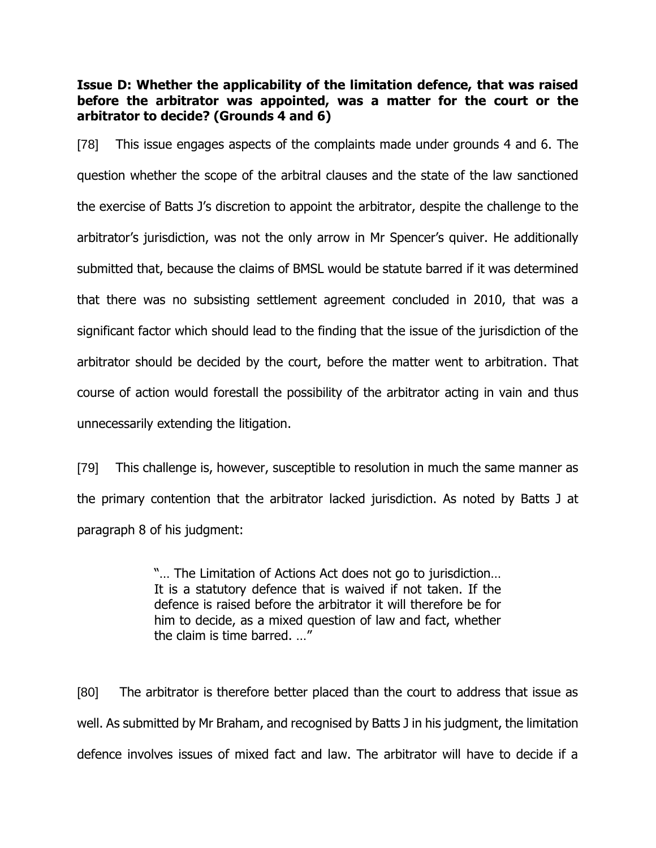**Issue D: Whether the applicability of the limitation defence, that was raised before the arbitrator was appointed, was a matter for the court or the arbitrator to decide? (Grounds 4 and 6)**

[78] This issue engages aspects of the complaints made under grounds 4 and 6. The question whether the scope of the arbitral clauses and the state of the law sanctioned the exercise of Batts J's discretion to appoint the arbitrator, despite the challenge to the arbitrator's jurisdiction, was not the only arrow in Mr Spencer's quiver. He additionally submitted that, because the claims of BMSL would be statute barred if it was determined that there was no subsisting settlement agreement concluded in 2010, that was a significant factor which should lead to the finding that the issue of the jurisdiction of the arbitrator should be decided by the court, before the matter went to arbitration. That course of action would forestall the possibility of the arbitrator acting in vain and thus unnecessarily extending the litigation.

[79] This challenge is, however, susceptible to resolution in much the same manner as the primary contention that the arbitrator lacked jurisdiction. As noted by Batts J at paragraph 8 of his judgment:

> "… The Limitation of Actions Act does not go to jurisdiction… It is a statutory defence that is waived if not taken. If the defence is raised before the arbitrator it will therefore be for him to decide, as a mixed question of law and fact, whether the claim is time barred. …"

[80] The arbitrator is therefore better placed than the court to address that issue as well. As submitted by Mr Braham, and recognised by Batts J in his judgment, the limitation defence involves issues of mixed fact and law. The arbitrator will have to decide if a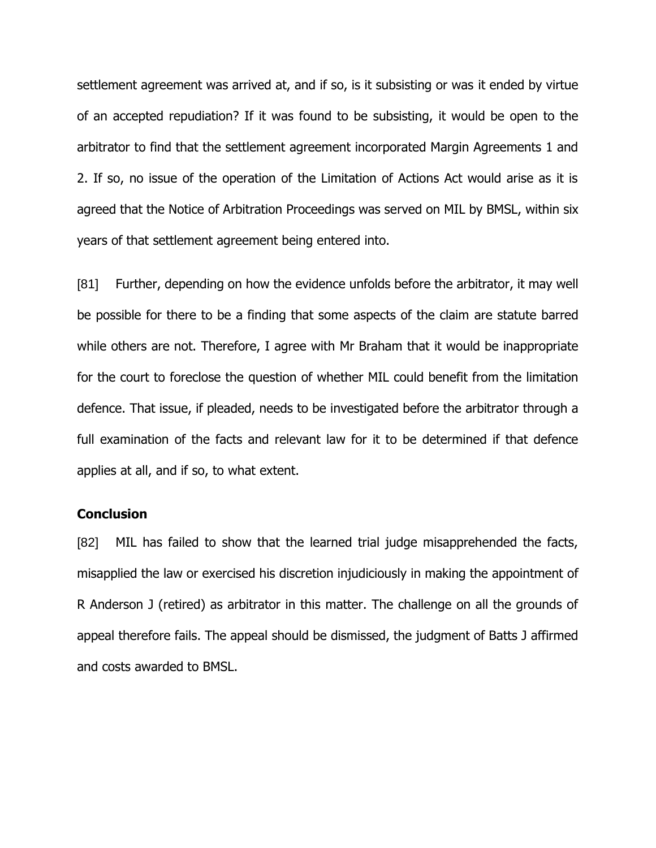settlement agreement was arrived at, and if so, is it subsisting or was it ended by virtue of an accepted repudiation? If it was found to be subsisting, it would be open to the arbitrator to find that the settlement agreement incorporated Margin Agreements 1 and 2. If so, no issue of the operation of the Limitation of Actions Act would arise as it is agreed that the Notice of Arbitration Proceedings was served on MIL by BMSL, within six years of that settlement agreement being entered into.

[81] Further, depending on how the evidence unfolds before the arbitrator, it may well be possible for there to be a finding that some aspects of the claim are statute barred while others are not. Therefore, I agree with Mr Braham that it would be inappropriate for the court to foreclose the question of whether MIL could benefit from the limitation defence. That issue, if pleaded, needs to be investigated before the arbitrator through a full examination of the facts and relevant law for it to be determined if that defence applies at all, and if so, to what extent.

### **Conclusion**

[82] MIL has failed to show that the learned trial judge misapprehended the facts, misapplied the law or exercised his discretion injudiciously in making the appointment of R Anderson J (retired) as arbitrator in this matter. The challenge on all the grounds of appeal therefore fails. The appeal should be dismissed, the judgment of Batts J affirmed and costs awarded to BMSL.